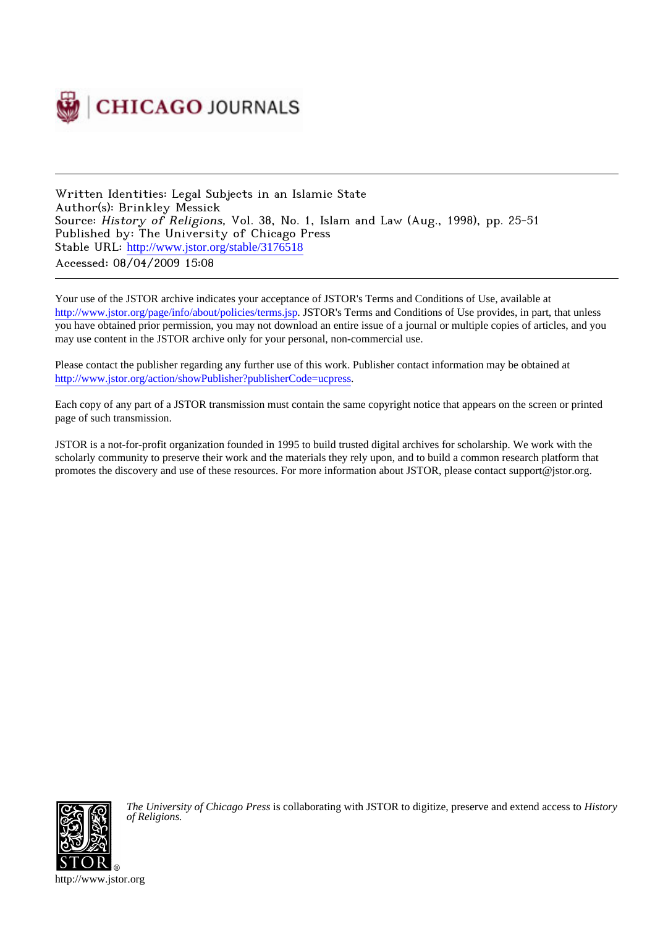

Written Identities: Legal Subjects in an Islamic State Author(s): Brinkley Messick Source: History of Religions, Vol. 38, No. 1, Islam and Law (Aug., 1998), pp. 25-51 Published by: The University of Chicago Press Stable URL: [http://www.jstor.org/stable/3176518](http://www.jstor.org/stable/3176518?origin=JSTOR-pdf) Accessed: 08/04/2009 15:08

Your use of the JSTOR archive indicates your acceptance of JSTOR's Terms and Conditions of Use, available at <http://www.jstor.org/page/info/about/policies/terms.jsp>. JSTOR's Terms and Conditions of Use provides, in part, that unless you have obtained prior permission, you may not download an entire issue of a journal or multiple copies of articles, and you may use content in the JSTOR archive only for your personal, non-commercial use.

Please contact the publisher regarding any further use of this work. Publisher contact information may be obtained at [http://www.jstor.org/action/showPublisher?publisherCode=ucpress.](http://www.jstor.org/action/showPublisher?publisherCode=ucpress)

Each copy of any part of a JSTOR transmission must contain the same copyright notice that appears on the screen or printed page of such transmission.

JSTOR is a not-for-profit organization founded in 1995 to build trusted digital archives for scholarship. We work with the scholarly community to preserve their work and the materials they rely upon, and to build a common research platform that promotes the discovery and use of these resources. For more information about JSTOR, please contact support@jstor.org.



*The University of Chicago Press* is collaborating with JSTOR to digitize, preserve and extend access to *History of Religions.*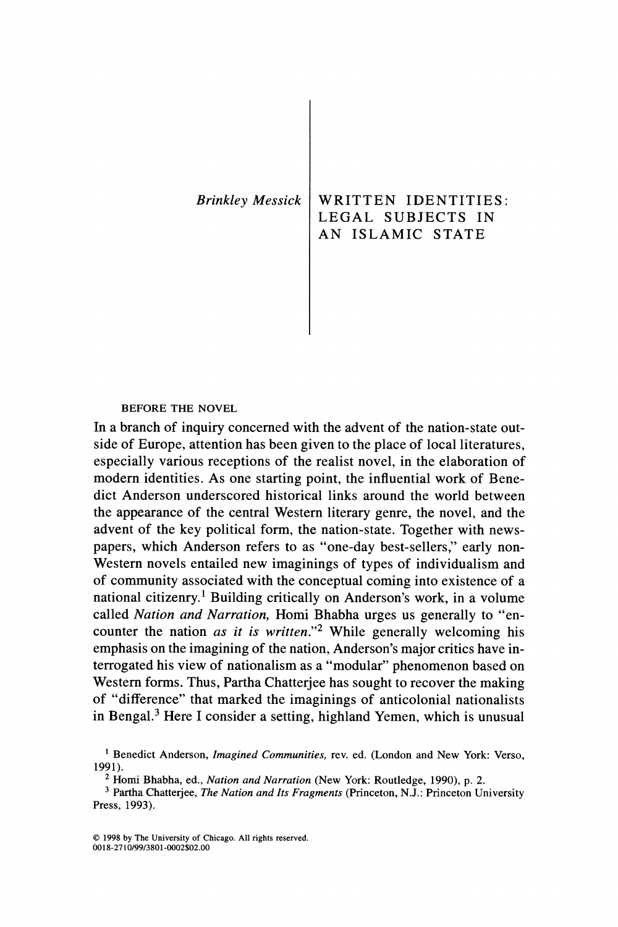| Brinkley Messick | WRITTEN IDENTITIES:<br>LEGAL SUBJECTS IN<br>AN ISLAMIC STATE |
|------------------|--------------------------------------------------------------|
|                  |                                                              |

**BEFORE THE NOVEL** 

**In a branch of inquiry concerned with the advent of the nation-state outside of Europe, attention has been given to the place of local literatures, especially various receptions of the realist novel, in the elaboration of modern identities. As one starting point, the influential work of Benedict Anderson underscored historical links around the world between the appearance of the central Western literary genre, the novel, and the advent of the key political form, the nation-state. Together with newspapers, which Anderson refers to as "one-day best-sellers," early non-Western novels entailed new imaginings of types of individualism and of community associated with the conceptual coming into existence of a national citizenry.1 Building critically on Anderson's work, in a volume called Nation and Narration, Homi Bhabha urges us generally to "encounter the nation as it is written."2 While generally welcoming his emphasis on the imagining of the nation, Anderson's major critics have interrogated his view of nationalism as a "modular" phenomenon based on Western forms. Thus, Partha Chatterjee has sought to recover the making of "difference" that marked the imaginings of anticolonial nationalists in Bengal.3 Here I consider a setting, highland Yemen, which is unusual** 

<sup>&</sup>lt;sup>1</sup> Benedict Anderson, *Imagined Communities*, rev. ed. (London and New York: Verso, 1991).

<sup>&</sup>lt;sup>2</sup> Homi Bhabha, ed., Nation and Narration (New York: Routledge, 1990), p. 2.

**<sup>3</sup> Partha Chatterjee, The Nation and Its Fragments (Princeton, N.J.: Princeton University Press, 1993).**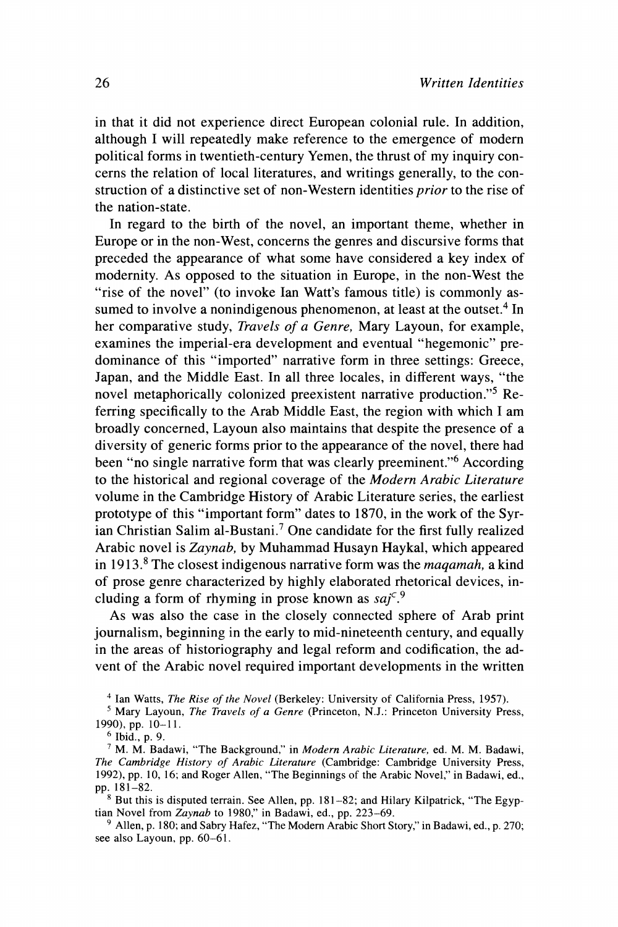**in that it did not experience direct European colonial rule. In addition, although I will repeatedly make reference to the emergence of modern political forms in twentieth-century Yemen, the thrust of my inquiry concerns the relation of local literatures, and writings generally, to the construction of a distinctive set of non-Western identities prior to the rise of the nation-state.** 

**In regard to the birth of the novel, an important theme, whether in Europe or in the non-West, concerns the genres and discursive forms that preceded the appearance of what some have considered a key index of modernity. As opposed to the situation in Europe, in the non-West the "rise of the novel" (to invoke Ian Watt's famous title) is commonly as**sumed to involve a nonindigenous phenomenon, at least at the outset.<sup>4</sup> In **her comparative study, Travels of a Genre, Mary Layoun, for example, examines the imperial-era development and eventual "hegemonic" predominance of this "imported" narrative form in three settings: Greece, Japan, and the Middle East. In all three locales, in different ways, "the novel metaphorically colonized preexistent narrative production."5 Referring specifically to the Arab Middle East, the region with which I am broadly concerned, Layoun also maintains that despite the presence of a diversity of generic forms prior to the appearance of the novel, there had been "no single narrative form that was clearly preeminent."6 According to the historical and regional coverage of the Modern Arabic Literature volume in the Cambridge History of Arabic Literature series, the earliest prototype of this "important form" dates to 1870, in the work of the Syrian Christian Salim al-Bustani.7 One candidate for the first fully realized Arabic novel is Zaynab, by Muhammad Husayn Haykal, which appeared in 1913.8 The closest indigenous narrative form was the maqamah, a kind of prose genre characterized by highly elaborated rhetorical devices, including a form of rhyming in prose known as sajc.9** 

**As was also the case in the closely connected sphere of Arab print journalism, beginning in the early to mid-nineteenth century, and equally in the areas of historiography and legal reform and codification, the advent of the Arabic novel required important developments in the written** 

**<sup>4</sup>Ian Watts, The Rise of the Novel (Berkeley: University of California Press, 1957). 5 Mary Layoun, The Travels of a Genre (Princeton, N.J.: Princeton University Press,** 

**1990), pp. 10-11.** 

**6 Ibid., p. 9.** 

**7 M. M. Badawi, "The Background," in Modern Arabic Literature, ed. M. M. Badawi, The Cambridge History of Arabic Literature (Cambridge: Cambridge University Press, 1992), pp. 10, 16; and Roger Allen, "The Beginnings of the Arabic Novel," in Badawi, ed., pp. 181-82.** 

**8 But this is disputed terrain. See Allen, pp. 181-82; and Hilary Kilpatrick, "The Egyptian Novel from Zaynab to 1980," in Badawi, ed., pp. 223-69.** 

<sup>9</sup> Allen, p. 180; and Sabry Hafez, "The Modern Arabic Short Story," in Badawi, ed., p. 270; **see also Layoun, pp. 60-61.**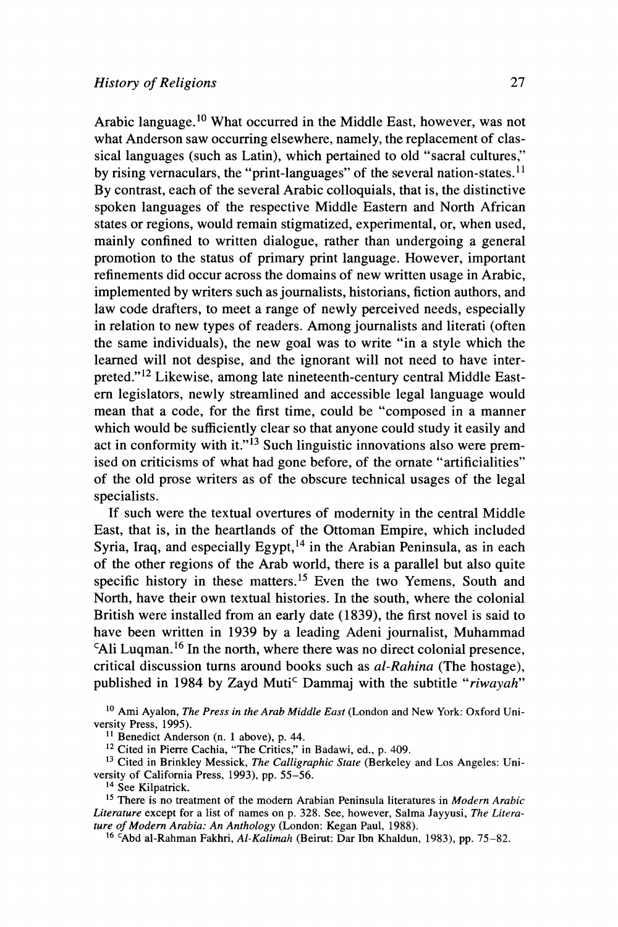**Arabic language.10 What occurred in the Middle East, however, was not what Anderson saw occurring elsewhere, namely, the replacement of classical languages (such as Latin), which pertained to old "sacral cultures," by rising vernaculars, the "print-languages" of the several nation-states.11 By contrast, each of the several Arabic colloquials, that is, the distinctive spoken languages of the respective Middle Eastern and North African states or regions, would remain stigmatized, experimental, or, when used, mainly confined to written dialogue, rather than undergoing a general promotion to the status of primary print language. However, important refinements did occur across the domains of new written usage in Arabic, implemented by writers such as journalists, historians, fiction authors, and law code drafters, to meet a range of newly perceived needs, especially in relation to new types of readers. Among journalists and literati (often the same individuals), the new goal was to write "in a style which the learned will not despise, and the ignorant will not need to have interpreted."12 Likewise, among late nineteenth-century central Middle Eastern legislators, newly streamlined and accessible legal language would mean that a code, for the first time, could be "composed in a manner which would be sufficiently clear so that anyone could study it easily and act in conformity with it."13 Such linguistic innovations also were premised on criticisms of what had gone before, of the ornate "artificialities" of the old prose writers as of the obscure technical usages of the legal specialists.** 

**If such were the textual overtures of modernity in the central Middle East, that is, in the heartlands of the Ottoman Empire, which included Syria, Iraq, and especially Egypt,14 in the Arabian Peninsula, as in each of the other regions of the Arab world, there is a parallel but also quite specific history in these matters.15 Even the two Yemens, South and North, have their own textual histories. In the south, where the colonial British were installed from an early date (1839), the first novel is said to have been written in 1939 by a leading Adeni journalist, Muhammad CAli Luqman.16 In the north, where there was no direct colonial presence, critical discussion turns around books such as al-Rahina (The hostage),**  published in 1984 by Zayd Muti<sup>c</sup> Dammaj with the subtitle "*riwayah*"

**<sup>10</sup> Ami Ayalon, The Press in the Arab Middle East (London and New York: Oxford University Press, 1995).** 

**<sup>11</sup> Benedict Anderson (n. 1 above), p. 44.** 

**<sup>12</sup>Cited in Pierre Cachia, "The Critics," in Badawi, ed., p. 409.** 

<sup>&</sup>lt;sup>13</sup> Cited in Brinkley Messick, *The Calligraphic State* (Berkeley and Los Angeles: Uni**versity of California Press, 1993), pp. 55-56.** 

<sup>&</sup>lt;sup>15</sup> There is no treatment of the modern Arabian Peninsula literatures in *Modern Arabic* Literature except for a list of names on p. 328. See, however, Salma Jayyusi, The Litera-<br>ture of Modern Arabia: An Anthology (London: Kegan Paul, 1988).

<sup>&</sup>lt;sup>16</sup> Abd al-Rahman Fakhri, Al-Kalimah (Beirut: Dar Ibn Khaldun, 1983), pp. 75–82.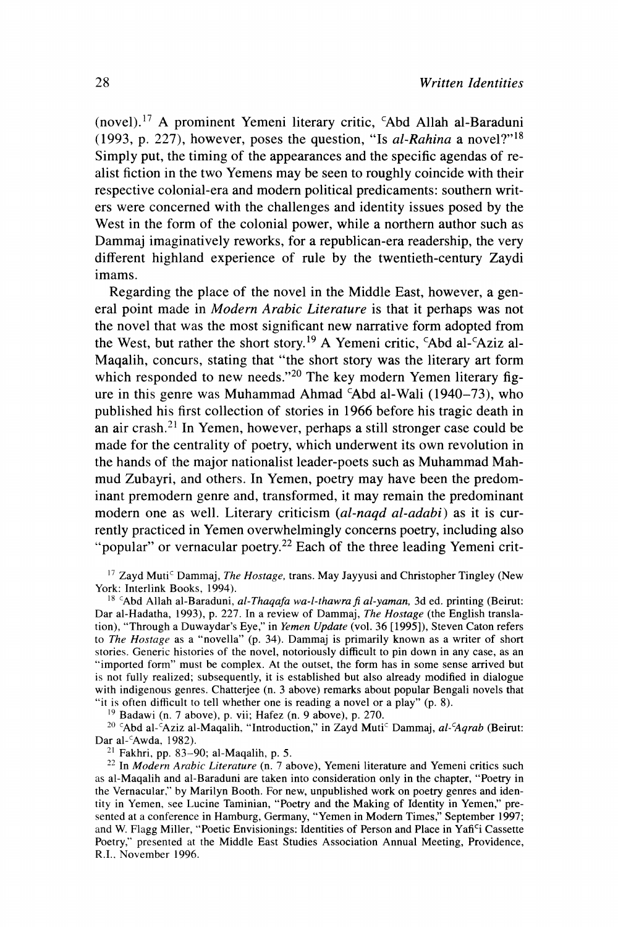**(novel).17 A prominent Yemeni literary critic, CAbd Allah al-Baraduni (1993, p. 227), however, poses the question, "Is al-Rahina a novel?"18 Simply put, the timing of the appearances and the specific agendas of realist fiction in the two Yemens may be seen to roughly coincide with their respective colonial-era and modern political predicaments: southern writers were concerned with the challenges and identity issues posed by the West in the form of the colonial power, while a northern author such as Dammaj imaginatively reworks, for a republican-era readership, the very different highland experience of rule by the twentieth-century Zaydi imams.** 

**Regarding the place of the novel in the Middle East, however, a general point made in Modern Arabic Literature is that it perhaps was not the novel that was the most significant new narrative form adopted from**  the West, but rather the short story.<sup>19</sup> A Yemeni critic, <sup>c</sup>Abd al-<sup>c</sup>Aziz al-**Maqalih, concurs, stating that "the short story was the literary art form**  which responded to new needs."<sup>20</sup> The key modern Yemen literary fig**ure in this genre was Muhammad Ahmad CAbd al-Wali (1940-73), who published his first collection of stories in 1966 before his tragic death in an air crash.21 In Yemen, however, perhaps a still stronger case could be made for the centrality of poetry, which underwent its own revolution in the hands of the major nationalist leader-poets such as Muhammad Mahmud Zubayri, and others. In Yemen, poetry may have been the predominant premodern genre and, transformed, it may remain the predominant modern one as well. Literary criticism (al-naqd al-adabi) as it is currently practiced in Yemen overwhelmingly concerns poetry, including also**  "popular" or vernacular poetry.<sup>22</sup> Each of the three leading Yemeni crit-

<sup>17</sup> Zayd Muti<sup>c</sup> Dammaj, *The Hostage*, trans. May Jayyusi and Christopher Tingley (New **York: Interlink Books, 1994).** 

<sup>18</sup> <sup>C</sup>Abd Allah al-Baraduni, al-Thagafa wa-l-thawra fi al-yaman, 3d ed. printing (Beirut: **Dar al-Hadatha, 1993), p. 227. In a review of Dammaj, The Hostage (the English translation), "Through a Duwaydar's Eye," in Yemen Update (vol. 36 [1995]), Steven Caton refers to The Hostage as a "novella" (p. 34). Dammaj is primarily known as a writer of short stories. Generic histories of the novel, notoriously difficult to pin down in any case, as an "imported form" must be complex. At the outset, the form has in some sense arrived but**  is not fully realized; subsequently, it is established but also already modified in dialogue with indigenous genres. Chatterjee (n. 3 above) remarks about popular Bengali novels that "it is often difficult to tell whether one is reading a novel or a play" (p. 8).

<sup>19</sup> Badawi (n. 7 above), p. vii; Hafez (n. 9 above), p. 270.

<sup>20</sup> <sup>c</sup>Abd al-<sup>c</sup>Aziz al-Magalih, "Introduction," in Zayd Muti<sup>c</sup> Dammai, al-*cAqrab* (Beirut: **Dar al-'Awda, 1982).** 

**21 Fakhri, pp. 83-90; al-Maqalih, p. 5.** 

**22 In Modern Arabic Literature (n. 7 above), Yemeni literature and Yemeni critics such as al-Maqalih and al-Baraduni are taken into consideration only in the chapter, "Poetry in the Vernacular," by Marilyn Booth. For new, unpublished work on poetry genres and identity in Yemen, see Lucine Taminian, "Poetry and the Making of Identity in Yemen," presented at a conference in Hamburg, Germany, "Yemen in Modem Times," September 1997; and W. Flagg Miller, "Poetic Envisionings: Identities of Person and Place in Yafici Cassette Poetry," presented at the Middle East Studies Association Annual Meeting, Providence, R.I., November 1996.**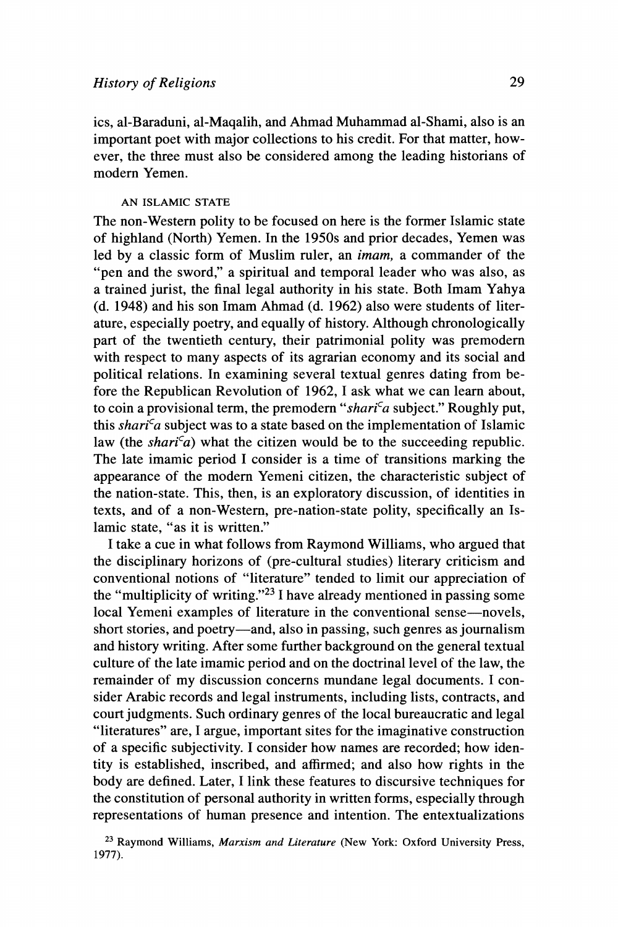**ics, al-Baraduni, al-Maqalih, and Ahmad Muhammad al-Shami, also is an important poet with major collections to his credit. For that matter, however, the three must also be considered among the leading historians of**  modern Yemen.

# **AN ISLAMIC STATE**

**The non-Western polity to be focused on here is the former Islamic state of highland (North) Yemen. In the 1950s and prior decades, Yemen was led by a classic form of Muslim ruler, an imam, a commander of the "pen and the sword," a spiritual and temporal leader who was also, as a trained jurist, the final legal authority in his state. Both Imam Yahya (d. 1948) and his son Imam Ahmad (d. 1962) also were students of literature, especially poetry, and equally of history. Although chronologically part of the twentieth century, their patrimonial polity was premodern with respect to many aspects of its agrarian economy and its social and political relations. In examining several textual genres dating from before the Republican Revolution of 1962, I ask what we can learn about,**  to coin a provisional term, the premodern "shari<sup>c</sup>a subject." Roughly put, this shari<sup>c</sup>a subject was to a state based on the implementation of Islamic law (the shari<sup>c</sup>a) what the citizen would be to the succeeding republic. **The late imamic period I consider is a time of transitions marking the appearance of the modern Yemeni citizen, the characteristic subject of the nation-state. This, then, is an exploratory discussion, of identities in texts, and of a non-Western, pre-nation-state polity, specifically an Islamic state, "as it is written."** 

**I take a cue in what follows from Raymond Williams, who argued that the disciplinary horizons of (pre-cultural studies) literary criticism and conventional notions of "literature" tended to limit our appreciation of the "multiplicity of writing."23 I have already mentioned in passing some local Yemeni examples of literature in the conventional sense-novels,**  short stories, and poetry-and, also in passing, such genres as journalism **and history writing. After some further background on the general textual culture of the late imamic period and on the doctrinal level of the law, the remainder of my discussion concerns mundane legal documents. I consider Arabic records and legal instruments, including lists, contracts, and court judgments. Such ordinary genres of the local bureaucratic and legal "literatures" are, I argue, important sites for the imaginative construction of a specific subjectivity. I consider how names are recorded; how identity is established, inscribed, and affirmed; and also how rights in the body are defined. Later, I link these features to discursive techniques for the constitution of personal authority in written forms, especially through representations of human presence and intention. The entextualizations** 

**23 Raymond Williams, Marxism and Literature (New York: Oxford University Press, 1977).**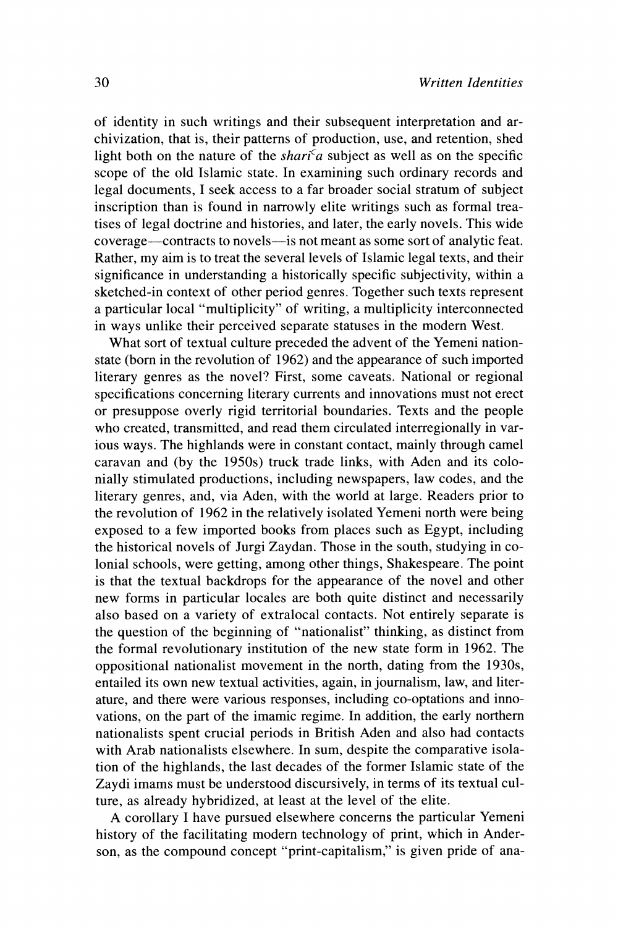**of identity in such writings and their subsequent interpretation and archivization, that is, their patterns of production, use, and retention, shed**  light both on the nature of the *shari<sup>c</sup>a* subject as well as on the specific **scope of the old Islamic state. In examining such ordinary records and legal documents, I seek access to a far broader social stratum of subject inscription than is found in narrowly elite writings such as formal treatises of legal doctrine and histories, and later, the early novels. This wide coverage-contracts to novels-is not meant as some sort of analytic feat. Rather, my aim is to treat the several levels of Islamic legal texts, and their significance in understanding a historically specific subjectivity, within a sketched-in context of other period genres. Together such texts represent a particular local "multiplicity" of writing, a multiplicity interconnected in ways unlike their perceived separate statuses in the modern West.** 

**What sort of textual culture preceded the advent of the Yemeni nationstate (born in the revolution of 1962) and the appearance of such imported literary genres as the novel? First, some caveats. National or regional specifications concerning literary currents and innovations must not erect or presuppose overly rigid territorial boundaries. Texts and the people who created, transmitted, and read them circulated interregionally in various ways. The highlands were in constant contact, mainly through camel caravan and (by the 1950s) truck trade links, with Aden and its colonially stimulated productions, including newspapers, law codes, and the literary genres, and, via Aden, with the world at large. Readers prior to the revolution of 1962 in the relatively isolated Yemeni north were being exposed to a few imported books from places such as Egypt, including the historical novels of Jurgi Zaydan. Those in the south, studying in colonial schools, were getting, among other things, Shakespeare. The point is that the textual backdrops for the appearance of the novel and other new forms in particular locales are both quite distinct and necessarily also based on a variety of extralocal contacts. Not entirely separate is the question of the beginning of "nationalist" thinking, as distinct from the formal revolutionary institution of the new state form in 1962. The oppositional nationalist movement in the north, dating from the 1930s, entailed its own new textual activities, again, in journalism, law, and literature, and there were various responses, including co-optations and innovations, on the part of the imamic regime. In addition, the early northern nationalists spent crucial periods in British Aden and also had contacts with Arab nationalists elsewhere. In sum, despite the comparative isolation of the highlands, the last decades of the former Islamic state of the Zaydi imams must be understood discursively, in terms of its textual culture, as already hybridized, at least at the level of the elite.** 

**A corollary I have pursued elsewhere concerns the particular Yemeni history of the facilitating modern technology of print, which in Anderson, as the compound concept "print-capitalism," is given pride of ana-**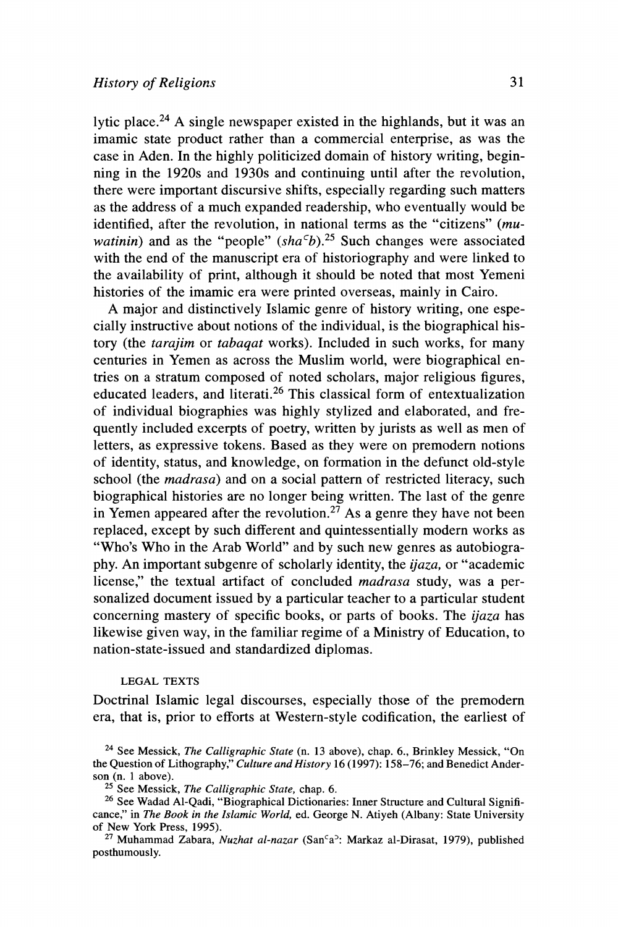**lytic place.24 A single newspaper existed in the highlands, but it was an imamic state product rather than a commercial enterprise, as was the case in Aden. In the highly politicized domain of history writing, beginning in the 1920s and 1930s and continuing until after the revolution, there were important discursive shifts, especially regarding such matters as the address of a much expanded readership, who eventually would be identified, after the revolution, in national terms as the "citizens" (mu***watinin*) and as the "people"  $(sha<sup>c</sup>b)<sup>25</sup>$  Such changes were associated **with the end of the manuscript era of historiography and were linked to the availability of print, although it should be noted that most Yemeni histories of the imamic era were printed overseas, mainly in Cairo.** 

**A major and distinctively Islamic genre of history writing, one especially instructive about notions of the individual, is the biographical history (the tarajim or tabaqat works). Included in such works, for many centuries in Yemen as across the Muslim world, were biographical entries on a stratum composed of noted scholars, major religious figures, educated leaders, and literati.26 This classical form of entextualization of individual biographies was highly stylized and elaborated, and frequently included excerpts of poetry, written by jurists as well as men of letters, as expressive tokens. Based as they were on premodern notions of identity, status, and knowledge, on formation in the defunct old-style school (the madrasa) and on a social pattern of restricted literacy, such biographical histories are no longer being written. The last of the genre**  in Yemen appeared after the revolution.<sup>27</sup> As a genre they have not been **replaced, except by such different and quintessentially modern works as "Who's Who in the Arab World" and by such new genres as autobiography. An important subgenre of scholarly identity, the ijaza, or "academic license," the textual artifact of concluded madrasa study, was a personalized document issued by a particular teacher to a particular student concerning mastery of specific books, or parts of books. The ijaza has likewise given way, in the familiar regime of a Ministry of Education, to nation-state-issued and standardized diplomas.** 

### **LEGAL TEXTS**

**Doctrinal Islamic legal discourses, especially those of the premodern era, that is, prior to efforts at Western-style codification, the earliest of** 

**<sup>24</sup> See Messick, The Calligraphic State (n. 13 above), chap. 6., Brinkley Messick, "On**  the Question of Lithography,<sup>"</sup> Culture and History 16 (1997): 158–76; and Benedict Anderson (n. 1 above).

<sup>&</sup>lt;sup>25</sup> See Messick, The Calligraphic State, chap. 6.

**<sup>26</sup> See Wadad Al-Qadi, "Biographical Dictionaries: Inner Structure and Cultural Significance," in The Book in the Islamic World, ed. George N. Atiyeh (Albany: State University of New York Press, 1995).** 

<sup>&</sup>lt;sup>27</sup> Muhammad Zabara, *Nuzhat al-nazar* (San<sup>c</sup>a<sup>5</sup>: Markaz al-Dirasat, 1979), published **posthumously.**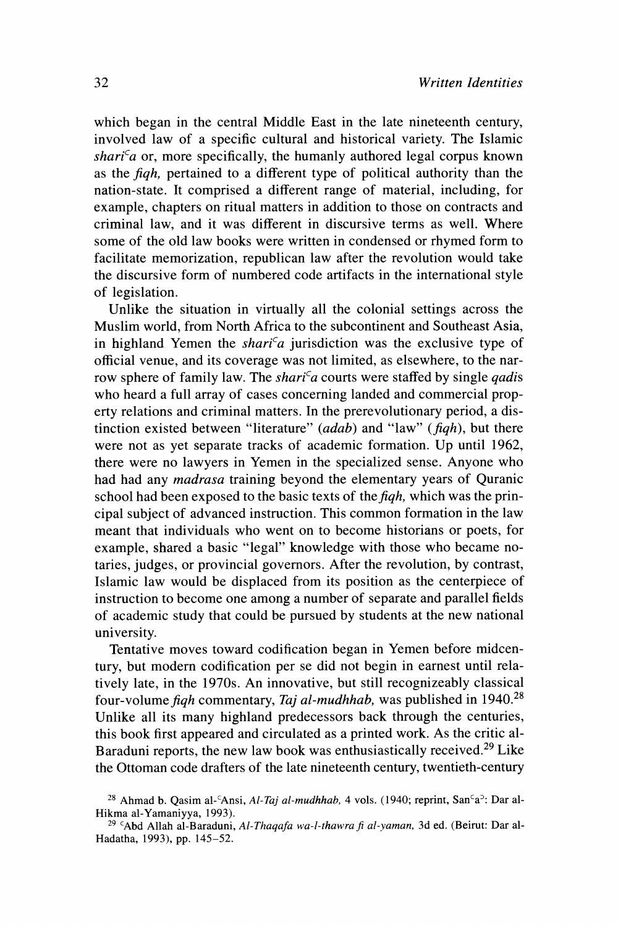**which began in the central Middle East in the late nineteenth century, involved law of a specific cultural and historical variety. The Islamic**   $shari<sup>c</sup>a$  or, more specifically, the humanly authored legal corpus known **as the fiqh, pertained to a different type of political authority than the nation-state. It comprised a different range of material, including, for example, chapters on ritual matters in addition to those on contracts and criminal law, and it was different in discursive terms as well. Where some of the old law books were written in condensed or rhymed form to facilitate memorization, republican law after the revolution would take the discursive form of numbered code artifacts in the international style of legislation.** 

**Unlike the situation in virtually all the colonial settings across the Muslim world, from North Africa to the subcontinent and Southeast Asia,**  in highland Yemen the *shari<sup>c</sup>a* jurisdiction was the exclusive type of **official venue, and its coverage was not limited, as elsewhere, to the nar**row sphere of family law. The *shari<sup>c</sup>a* courts were staffed by single *gadis* **who heard a full array of cases concerning landed and commercial property relations and criminal matters. In the prerevolutionary period, a distinction existed between "literature" (adab) and "law" (fiqh), but there were not as yet separate tracks of academic formation. Up until 1962, there were no lawyers in Yemen in the specialized sense. Anyone who had had any madrasa training beyond the elementary years of Quranic**  school had been exposed to the basic texts of the *fiqh*, which was the prin**cipal subject of advanced instruction. This common formation in the law meant that individuals who went on to become historians or poets, for example, shared a basic "legal" knowledge with those who became notaries, judges, or provincial governors. After the revolution, by contrast, Islamic law would be displaced from its position as the centerpiece of instruction to become one among a number of separate and parallel fields of academic study that could be pursued by students at the new national university.** 

**Tentative moves toward codification began in Yemen before midcentury, but modern codification per se did not begin in earnest until relatively late, in the 1970s. An innovative, but still recognizeably classical**  four-volume figh commentary, Taj al-mudhhab, was published in 1940.<sup>28</sup> **Unlike all its many highland predecessors back through the centuries, this book first appeared and circulated as a printed work. As the critic al-Baraduni reports, the new law book was enthusiastically received.29 Like the Ottoman code drafters of the late nineteenth century, twentieth-century** 

<sup>&</sup>lt;sup>28</sup> Ahmad b. Qasim al-ʿAnsi, Al-*Taj al-mudhhab*, 4 vols. (1940; reprint, San<sup>c</sup>a<sup>3</sup>: Dar al-**Hikma al-Yamaniyya, 1993).** 

**<sup>29</sup>CAbd Allah al-Baraduni, Al-Thaqafa wa-l-thawra fi al-yaman, 3d ed. (Beirut: Dar al-Hadatha, 1993), pp. 145-52.**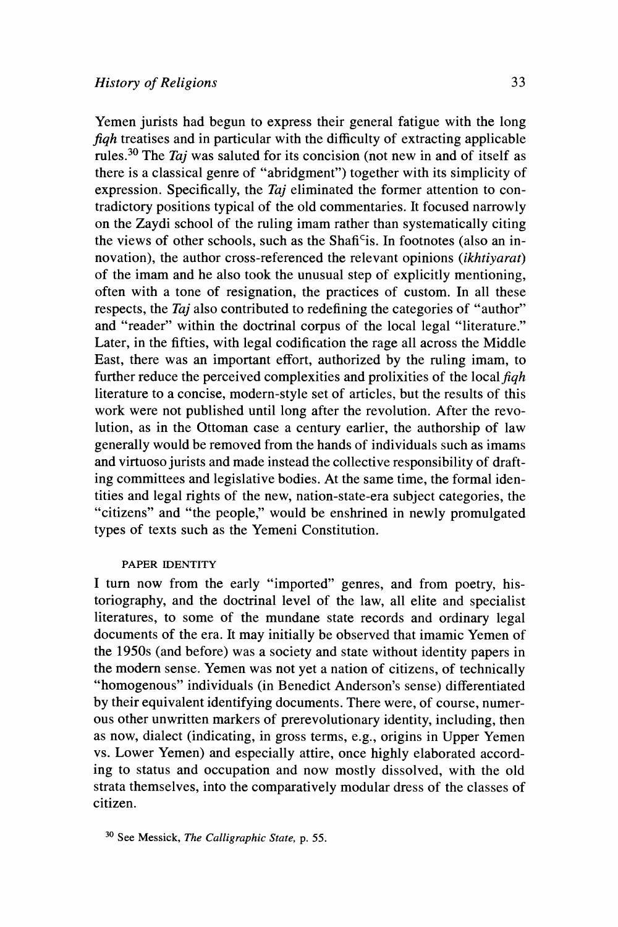**Yemen jurists had begun to express their general fatigue with the long fiqh treatises and in particular with the difficulty of extracting applicable rules.30 The Taj was saluted for its concision (not new in and of itself as there is a classical genre of "abridgment") together with its simplicity of expression. Specifically, the Taj eliminated the former attention to contradictory positions typical of the old commentaries. It focused narrowly on the Zaydi school of the ruling imam rather than systematically citing the views of other schools, such as the Shafi'is. In footnotes (also an innovation), the author cross-referenced the relevant opinions (ikhtiyarat) of the imam and he also took the unusual step of explicitly mentioning, often with a tone of resignation, the practices of custom. In all these respects, the Taj also contributed to redefining the categories of "author" and "reader" within the doctrinal corpus of the local legal "literature." Later, in the fifties, with legal codification the rage all across the Middle East, there was an important effort, authorized by the ruling imam, to**  further reduce the perceived complexities and prolixities of the local *figh* **literature to a concise, modern-style set of articles, but the results of this**  work were not published until long after the revolution. After the revo**lution, as in the Ottoman case a century earlier, the authorship of law generally would be removed from the hands of individuals such as imams and virtuoso jurists and made instead the collective responsibility of drafting committees and legislative bodies. At the same time, the formal identities and legal rights of the new, nation-state-era subject categories, the "citizens" and "the people," would be enshrined in newly promulgated types of texts such as the Yemeni Constitution.** 

# **PAPER IDENTITY**

**I turn now from the early "imported" genres, and from poetry, historiography, and the doctrinal level of the law, all elite and specialist literatures, to some of the mundane state records and ordinary legal documents of the era. It may initially be observed that imamic Yemen of the 1950s (and before) was a society and state without identity papers in**  the modern sense. Yemen was not yet a nation of citizens, of technically **"homogenous" individuals (in Benedict Anderson's sense) differentiated by their equivalent identifying documents. There were, of course, numerous other unwritten markers of prerevolutionary identity, including, then as now, dialect (indicating, in gross terms, e.g., origins in Upper Yemen vs. Lower Yemen) and especially attire, once highly elaborated according to status and occupation and now mostly dissolved, with the old strata themselves, into the comparatively modular dress of the classes of citizen.** 

**<sup>30</sup>See Messick, The Calligraphic State, p. 55.**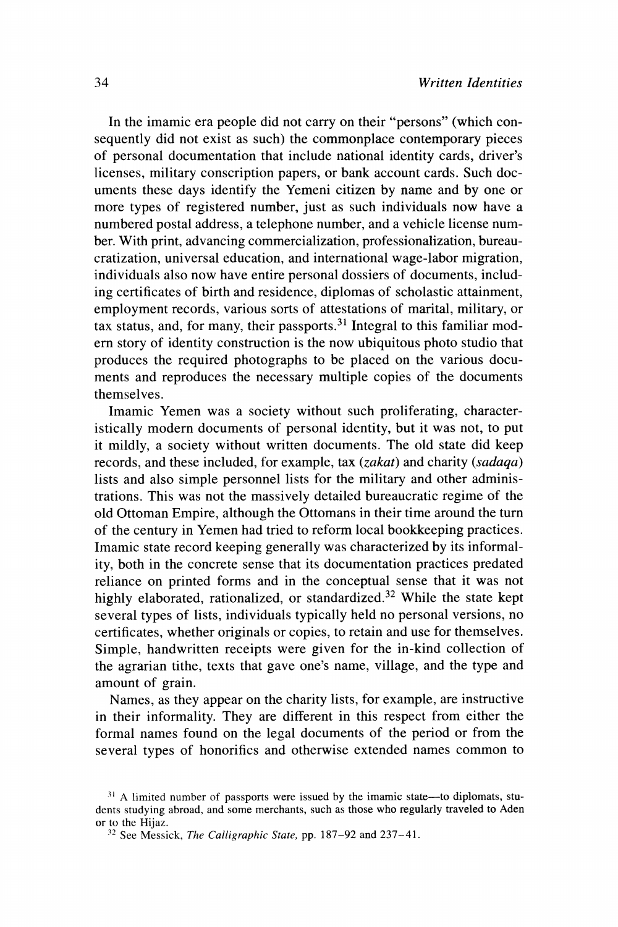**In the imamic era people did not carry on their "persons" (which consequently did not exist as such) the commonplace contemporary pieces of personal documentation that include national identity cards, driver's licenses, military conscription papers, or bank account cards. Such documents these days identify the Yemeni citizen by name and by one or more types of registered number, just as such individuals now have a numbered postal address, a telephone number, and a vehicle license number. With print, advancing commercialization, professionalization, bureaucratization, universal education, and international wage-labor migration, individuals also now have entire personal dossiers of documents, including certificates of birth and residence, diplomas of scholastic attainment, employment records, various sorts of attestations of marital, military, or tax status, and, for many, their passports.31 Integral to this familiar modern story of identity construction is the now ubiquitous photo studio that produces the required photographs to be placed on the various documents and reproduces the necessary multiple copies of the documents themselves.** 

**Imamic Yemen was a society without such proliferating, characteristically modern documents of personal identity, but it was not, to put it mildly, a society without written documents. The old state did keep records, and these included, for example, tax (zakat) and charity (sadaqa) lists and also simple personnel lists for the military and other administrations. This was not the massively detailed bureaucratic regime of the old Ottoman Empire, although the Ottomans in their time around the turn of the century in Yemen had tried to reform local bookkeeping practices. Imamic state record keeping generally was characterized by its informality, both in the concrete sense that its documentation practices predated reliance on printed forms and in the conceptual sense that it was not highly elaborated, rationalized, or standardized.32 While the state kept several types of lists, individuals typically held no personal versions, no certificates, whether originals or copies, to retain and use for themselves. Simple, handwritten receipts were given for the in-kind collection of the agrarian tithe, texts that gave one's name, village, and the type and amount of grain.** 

**Names, as they appear on the charity lists, for example, are instructive in their informality. They are different in this respect from either the formal names found on the legal documents of the period or from the several types of honorifics and otherwise extended names common to** 

<sup>&</sup>lt;sup>31</sup> A limited number of passports were issued by the imamic state—to diplomats, stu**dents studying abroad, and some merchants, such as those who regularly traveled to Aden** 

<sup>&</sup>lt;sup>32</sup> See Messick, The Calligraphic State, pp. 187-92 and 237-41.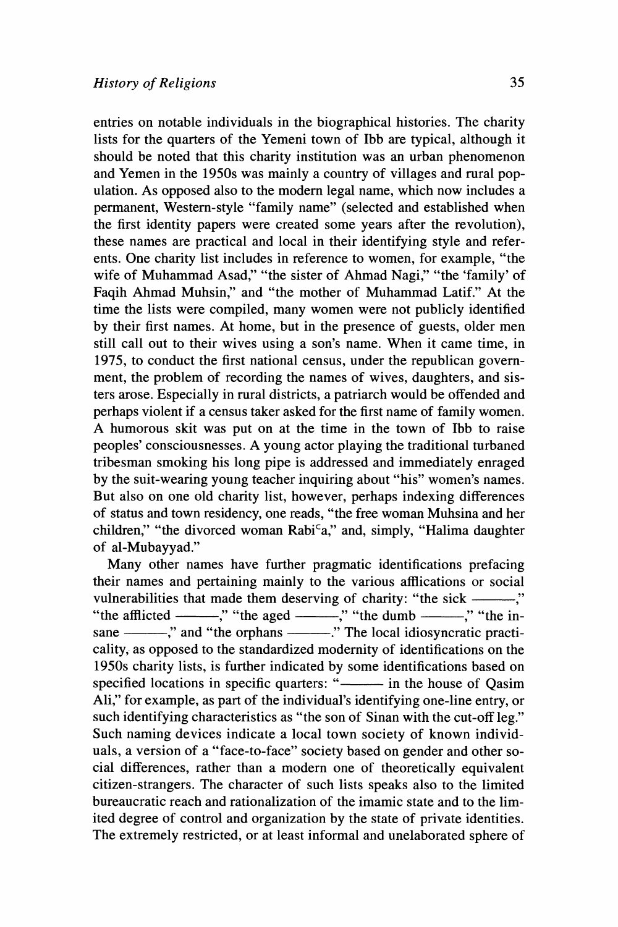**entries on notable individuals in the biographical histories. The charity lists for the quarters of the Yemeni town of Ibb are typical, although it should be noted that this charity institution was an urban phenomenon and Yemen in the 1950s was mainly a country of villages and rural population. As opposed also to the modem legal name, which now includes a permanent, Western-style "family name" (selected and established when the first identity papers were created some years after the revolution), these names are practical and local in their identifying style and referents. One charity list includes in reference to women, for example, "the wife of Muhammad Asad," "the sister of Ahmad Nagi," "the 'family' of Faqih Ahmad Muhsin," and "the mother of Muhammad Latif." At the time the lists were compiled, many women were not publicly identified by their first names. At home, but in the presence of guests, older men still call out to their wives using a son's name. When it came time, in 1975, to conduct the first national census, under the republican government, the problem of recording the names of wives, daughters, and sisters arose. Especially in rural districts, a patriarch would be offended and perhaps violent if a census taker asked for the first name of family women. A humorous skit was put on at the time in the town of Ibb to raise peoples' consciousnesses. A young actor playing the traditional turbaned tribesman smoking his long pipe is addressed and immediately enraged by the suit-wearing young teacher inquiring about "his" women's names. But also on one old charity list, however, perhaps indexing differences of status and town residency, one reads, "the free woman Muhsina and her**  children," "the divorced woman Rabi<sup>c</sup>a," and, simply, "Halima daughter **of al-Mubayyad."** 

**Many other names have further pragmatic identifications prefacing their names and pertaining mainly to the various afflications or social**  vulnerabilities that made them deserving of charity: "the sick ——," "the afflicted -----," "the aged ------," "the dumb ------," "the in**sane ," and "the orphans ." The local idiosyncratic practicality, as opposed to the standardized modernity of identifications on the 1950s charity lists, is further indicated by some identifications based on specified locations in specific quarters: " in the house of Qasim Ali," for example, as part of the individual's identifying one-line entry, or such identifying characteristics as "the son of Sinan with the cut-off leg." Such naming devices indicate a local town society of known individuals, a version of a "face-to-face" society based on gender and other social differences, rather than a modern one of theoretically equivalent citizen-strangers. The character of such lists speaks also to the limited bureaucratic reach and rationalization of the imamic state and to the limited degree of control and organization by the state of private identities. The extremely restricted, or at least informal and unelaborated sphere of**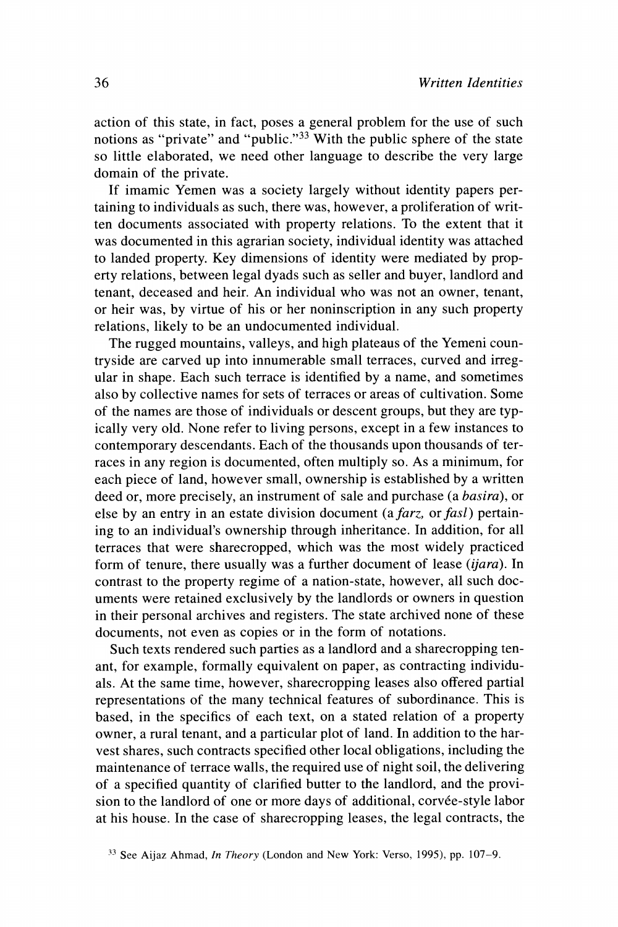**action of this state, in fact, poses a general problem for the use of such notions as "private" and "public."33 With the public sphere of the state so little elaborated, we need other language to describe the very large domain of the private.** 

**If imamic Yemen was a society largely without identity papers pertaining to individuals as such, there was, however, a proliferation of written documents associated with property relations. To the extent that it was documented in this agrarian society, individual identity was attached to landed property. Key dimensions of identity were mediated by property relations, between legal dyads such as seller and buyer, landlord and tenant, deceased and heir. An individual who was not an owner, tenant, or heir was, by virtue of his or her noninscription in any such property relations, likely to be an undocumented individual.** 

**The rugged mountains, valleys, and high plateaus of the Yemeni countryside are carved up into innumerable small terraces, curved and irregular in shape. Each such terrace is identified by a name, and sometimes also by collective names for sets of terraces or areas of cultivation. Some of the names are those of individuals or descent groups, but they are typically very old. None refer to living persons, except in a few instances to contemporary descendants. Each of the thousands upon thousands of terraces in any region is documented, often multiply so. As a minimum, for each piece of land, however small, ownership is established by a written deed or, more precisely, an instrument of sale and purchase (a basira), or**  else by an entry in an estate division document (a *farz*, or *fasl*) pertain**ing to an individual's ownership through inheritance. In addition, for all terraces that were sharecropped, which was the most widely practiced form of tenure, there usually was a further document of lease (ijara). In contrast to the property regime of a nation-state, however, all such documents were retained exclusively by the landlords or owners in question in their personal archives and registers. The state archived none of these documents, not even as copies or in the form of notations.** 

**Such texts rendered such parties as a landlord and a sharecropping tenant, for example, formally equivalent on paper, as contracting individuals. At the same time, however, sharecropping leases also offered partial representations of the many technical features of subordinance. This is based, in the specifics of each text, on a stated relation of a property owner, a rural tenant, and a particular plot of land. In addition to the harvest shares, such contracts specified other local obligations, including the maintenance of terrace walls, the required use of night soil, the delivering of a specified quantity of clarified butter to the landlord, and the provision to the landlord of one or more days of additional, corvee-style labor at his house. In the case of sharecropping leases, the legal contracts, the** 

**<sup>33</sup> See Aijaz Ahmad, In Theory (London and New York: Verso, 1995), pp. 107-9.**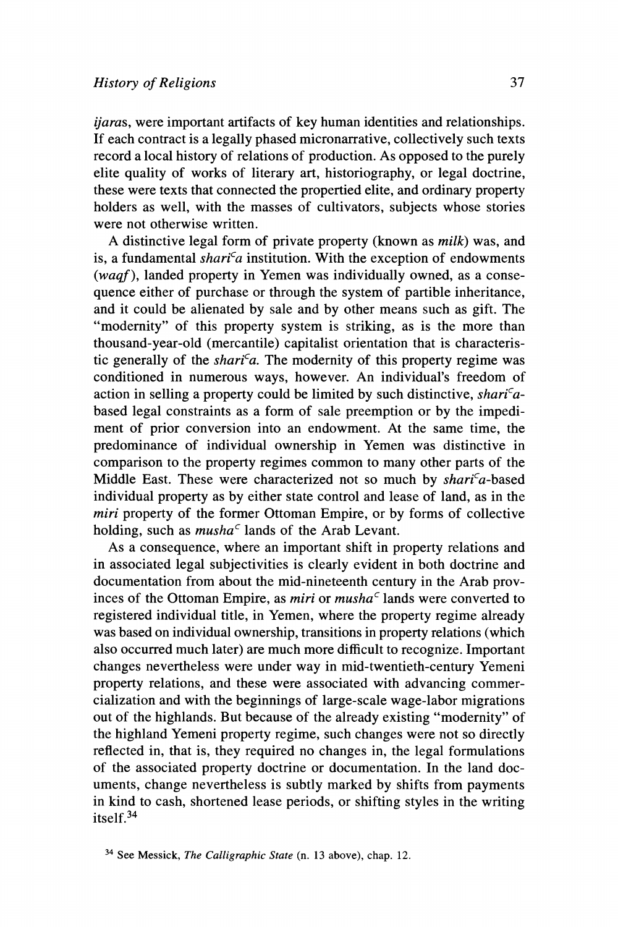**ijaras, were important artifacts of key human identities and relationships. If each contract is a legally phased micronarrative, collectively such texts record a local history of relations of production. As opposed to the purely elite quality of works of literary art, historiography, or legal doctrine, these were texts that connected the propertied elite, and ordinary property holders as well, with the masses of cultivators, subjects whose stories were not otherwise written.** 

**A distinctive legal form of private property (known as milk) was, and**  is, a fundamental shari<sup>c</sup>a institution. With the exception of endowments **(waqf), landed property in Yemen was individually owned, as a consequence either of purchase or through the system of partible inheritance, and it could be alienated by sale and by other means such as gift. The "modernity" of this property system is striking, as is the more than thousand-year-old (mercantile) capitalist orientation that is characteris**tic generally of the *shari<sup>c</sup>a*. The modernity of this property regime was **conditioned in numerous ways, however. An individual's freedom of**  action in selling a property could be limited by such distinctive, *shari<sup>c</sup>a***based legal constraints as a form of sale preemption or by the impediment of prior conversion into an endowment. At the same time, the predominance of individual ownership in Yemen was distinctive in comparison to the property regimes common to many other parts of the**  Middle East. These were characterized not so much by *shari<sup>c</sup>a*-based **individual property as by either state control and lease of land, as in the miri property of the former Ottoman Empire, or by forms of collective holding, such as musha' lands of the Arab Levant.** 

**As a consequence, where an important shift in property relations and in associated legal subjectivities is clearly evident in both doctrine and documentation from about the mid-nineteenth century in the Arab prov**inces of the Ottoman Empire, as *miri* or *musha*<sup> $\epsilon$ </sup> lands were converted to **registered individual title, in Yemen, where the property regime already was based on individual ownership, transitions in property relations (which also occurred much later) are much more difficult to recognize. Important changes nevertheless were under way in mid-twentieth-century Yemeni property relations, and these were associated with advancing commercialization and with the beginnings of large-scale wage-labor migrations out of the highlands. But because of the already existing "modernity" of the highland Yemeni property regime, such changes were not so directly reflected in, that is, they required no changes in, the legal formulations of the associated property doctrine or documentation. In the land documents, change nevertheless is subtly marked by shifts from payments in kind to cash, shortened lease periods, or shifting styles in the writing itself.34** 

**<sup>34</sup> See Messick, The Calligraphic State (n. 13 above), chap. 12.**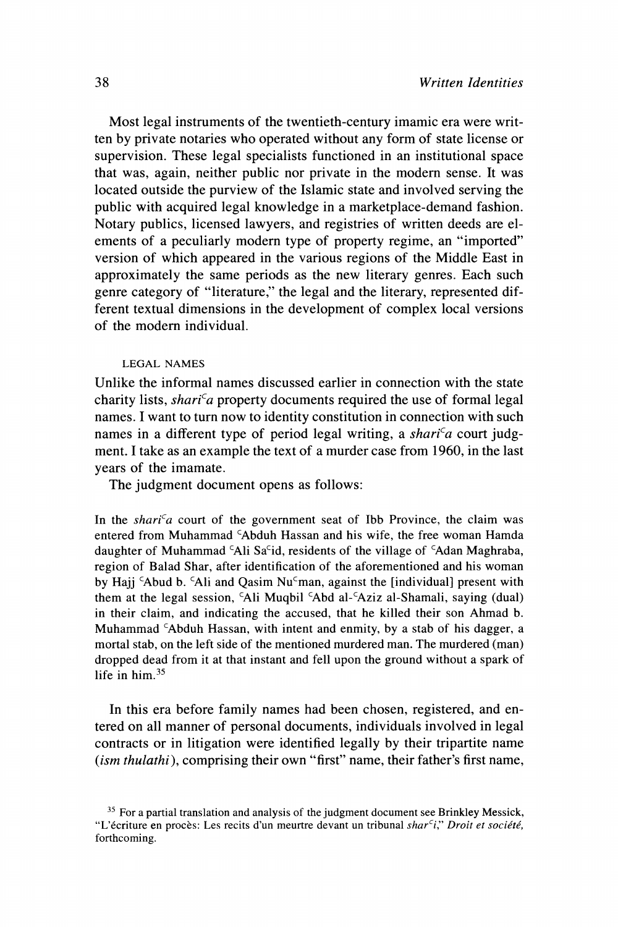**Most legal instruments of the twentieth-century imamic era were written by private notaries who operated without any form of state license or supervision. These legal specialists functioned in an institutional space**  that was, again, neither public nor private in the modern sense. It was **located outside the purview of the Islamic state and involved serving the public with acquired legal knowledge in a marketplace-demand fashion. Notary publics, licensed lawyers, and registries of written deeds are elements of a peculiarly modern type of property regime, an "imported" version of which appeared in the various regions of the Middle East in approximately the same periods as the new literary genres. Each such genre category of "literature," the legal and the literary, represented different textual dimensions in the development of complex local versions of the modern individual.** 

### **LEGAL NAMES**

**Unlike the informal names discussed earlier in connection with the state**  charity lists, *shari<sup>c</sup>a* property documents required the use of formal legal **names. I want to turn now to identity constitution in connection with such**  names in a different type of period legal writing, a *shari<sup>c</sup>a* court judg**ment. I take as an example the text of a murder case from 1960, in the last years of the imamate.** 

**The judgment document opens as follows:** 

In the shari<sup>c</sup>a court of the government seat of Ibb Province, the claim was **entered from Muhammad CAbduh Hassan and his wife, the free woman Hamda**  daughter of Muhammad <sup>c</sup>Ali Sa<sup>c</sup>id, residents of the village of <sup>c</sup>Adan Maghraba, **region of Balad Shar, after identification of the aforementioned and his woman by Hajj CAbud b. CAli and Qasim Nu'man, against the [individual] present with them at the legal session, CAli Muqbil CAbd al-CAziz al-Shamali, saying (dual) in their claim, and indicating the accused, that he killed their son Ahmad b. Muhammad CAbduh Hassan, with intent and enmity, by a stab of his dagger, a mortal stab, on the left side of the mentioned murdered man. The murdered (man) dropped dead from it at that instant and fell upon the ground without a spark of life in him.35** 

**In this era before family names had been chosen, registered, and entered on all manner of personal documents, individuals involved in legal contracts or in litigation were identified legally by their tripartite name (ism thulathi), comprising their own "first" name, their father's first name,** 

**<sup>35</sup> For a partial translation and analysis of the judgment document see Brinkley Messick,**  "L'écriture en procès: Les recits d'un meurtre devant un tribunal shar<sup>c</sup>i," Droit et société, **forthcoming.**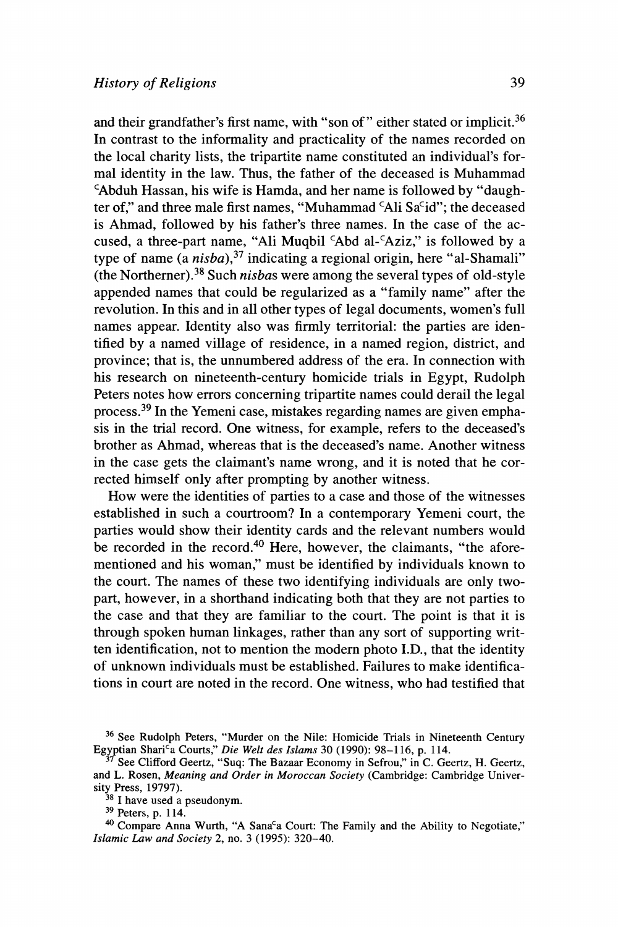**and their grandfather's first name, with "son of" either stated or implicit.36 In contrast to the informality and practicality of the names recorded on the local charity lists, the tripartite name constituted an individual's formal identity in the law. Thus, the father of the deceased is Muhammad CAbduh Hassan, his wife is Hamda, and her name is followed by "daugh**ter of," and three male first names, "Muhammad 'Ali Sa<sup>c</sup>id"; the deceased **is Ahmad, followed by his father's three names. In the case of the ac**cused, a three-part name, "Ali Muqbil <sup>c</sup>Abd al-<sup>c</sup>Aziz," is followed by a **type of name (a nisba),37 indicating a regional origin, here "al-Shamali" (the Northerner).38 Such nisbas were among the several types of old-style appended names that could be regularized as a "family name" after the revolution. In this and in all other types of legal documents, women's full names appear. Identity also was firmly territorial: the parties are identified by a named village of residence, in a named region, district, and province; that is, the unnumbered address of the era. In connection with his research on nineteenth-century homicide trials in Egypt, Rudolph Peters notes how errors concerning tripartite names could derail the legal process.39 In the Yemeni case, mistakes regarding names are given emphasis in the trial record. One witness, for example, refers to the deceased's brother as Ahmad, whereas that is the deceased's name. Another witness in the case gets the claimant's name wrong, and it is noted that he corrected himself only after prompting by another witness.** 

**How were the identities of parties to a case and those of the witnesses established in such a courtroom? In a contemporary Yemeni court, the parties would show their identity cards and the relevant numbers would be recorded in the record.40 Here, however, the claimants, "the aforementioned and his woman," must be identified by individuals known to the court. The names of these two identifying individuals are only twopart, however, in a shorthand indicating both that they are not parties to the case and that they are familiar to the court. The point is that it is through spoken human linkages, rather than any sort of supporting writ**ten identification, not to mention the modern photo I.D., that the identity **of unknown individuals must be established. Failures to make identifications in court are noted in the record. One witness, who had testified that** 

**<sup>36</sup>See Rudolph Peters, "Murder on the Nile: Homicide Trials in Nineteenth Century**  Egyptian Shari<sup>c</sup>a Courts," Die Welt des Islams 30 (1990): 98-116, p. 114.

**<sup>37</sup> See Clifford Geertz, "Suq: The Bazaar Economy in Sefrou," in C. Geertz, H. Geertz, and L. Rosen, Meaning and Order in Moroccan Society (Cambridge: Cambridge University Press, 19797).** 

**<sup>38</sup> I have used a pseudonym.** 

**<sup>39</sup> Peters, p. 114.** 

<sup>&</sup>lt;sup>40</sup> Compare Anna Wurth, "A Sana<sup>c</sup>a Court: The Family and the Ability to Negotiate," **Islamic Law and Society 2, no. 3 (1995): 320-40.**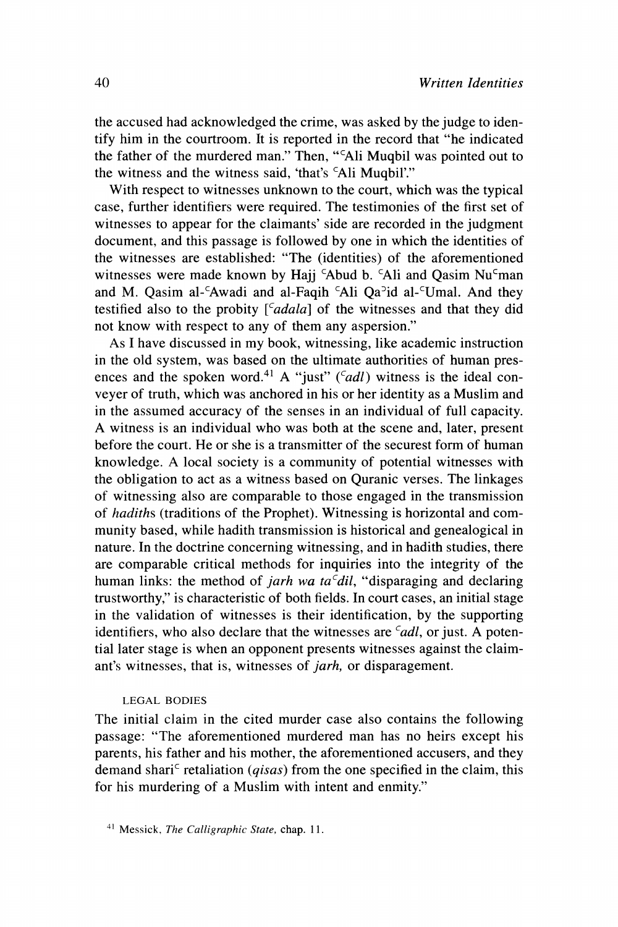**the accused had acknowledged the crime, was asked by the judge to identify him in the courtroom. It is reported in the record that "he indicated the father of the murdered man." Then, "CAli Muqbil was pointed out to**  the witness and the witness said, 'that's 'Ali Muqbil'."

**With respect to witnesses unknown to the court, which was the typical case, further identifiers were required. The testimonies of the first set of witnesses to appear for the claimants' side are recorded in the judgment document, and this passage is followed by one in which the identities of the witnesses are established: "The (identities) of the aforementioned**  witnesses were made known by Hajj <sup>c</sup>Abud b. <sup>c</sup>Ali and Qasim Nu<sup>c</sup>man and M. Qasim al-<sup>c</sup>Awadi and al-Faqih <sup>c</sup>Ali Qa<sup>2</sup>id al-<sup>c</sup>Umal. And they testified also to the probity  $\int_a^c \, d\alpha \, d\alpha$  of the witnesses and that they did **not know with respect to any of them any aspersion."** 

**As I have discussed in my book, witnessing, like academic instruction in the old system, was based on the ultimate authorities of human pres**ences and the spoken word.<sup>41</sup> A "just" (*cadl*) witness is the ideal con**veyer of truth, which was anchored in his or her identity as a Muslim and in the assumed accuracy of the senses in an individual of full capacity. A witness is an individual who was both at the scene and, later, present before the court. He or she is a transmitter of the securest form of human knowledge. A local society is a community of potential witnesses with the obligation to act as a witness based on Quranic verses. The linkages of witnessing also are comparable to those engaged in the transmission of hadiths (traditions of the Prophet). Witnessing is horizontal and community based, while hadith transmission is historical and genealogical in nature. In the doctrine concerning witnessing, and in hadith studies, there are comparable critical methods for inquiries into the integrity of the**  human links: the method of *jarh wa ta<sup>c</sup>dil*, "disparaging and declaring **trustworthy," is characteristic of both fields. In court cases, an initial stage in the validation of witnesses is their identification, by the supporting**  identifiers, who also declare that the witnesses are <sup>c</sup>adl, or just. A poten**tial later stage is when an opponent presents witnesses against the claimant's witnesses, that is, witnesses of jarh, or disparagement.** 

#### **LEGAL BODIES**

**The initial claim in the cited murder case also contains the following passage: "The aforementioned murdered man has no heirs except his parents, his father and his mother, the aforementioned accusers, and they**  demand shari<sup>c</sup> retaliation (*qisas*) from the one specified in the claim, this **for his murdering of a Muslim with intent and enmity."** 

**<sup>41</sup>Messick, The Calligraphic State, chap. 11.**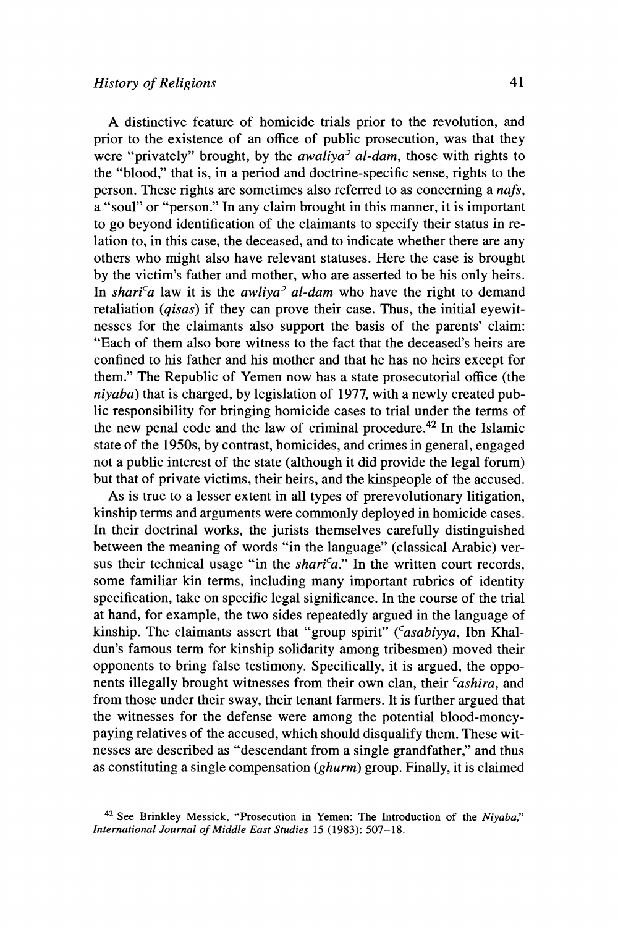**41** 

**A distinctive feature of homicide trials prior to the revolution, and prior to the existence of an office of public prosecution, was that they were "privately" brought, by the awaliya' al-dam, those with rights to the "blood," that is, in a period and doctrine-specific sense, rights to the person. These rights are sometimes also referred to as concerning a nafs, a "soul" or "person." In any claim brought in this manner, it is important to go beyond identification of the claimants to specify their status in relation to, in this case, the deceased, and to indicate whether there are any others who might also have relevant statuses. Here the case is brought by the victim's father and mother, who are asserted to be his only heirs.**  In shari<sup>c</sup>a law it is the awliya<sup>3</sup> al-dam who have the right to demand **retaliation (qisas) if they can prove their case. Thus, the initial eyewitnesses for the claimants also support the basis of the parents' claim: "Each of them also bore witness to the fact that the deceased's heirs are confined to his father and his mother and that he has no heirs except for them." The Republic of Yemen now has a state prosecutorial office (the niyaba) that is charged, by legislation of 1977, with a newly created public responsibility for bringing homicide cases to trial under the terms of the new penal code and the law of criminal procedure.42 In the Islamic state of the 1950s, by contrast, homicides, and crimes in general, engaged not a public interest of the state (although it did provide the legal forum) but that of private victims, their heirs, and the kinspeople of the accused.** 

**As is true to a lesser extent in all types of prerevolutionary litigation, kinship terms and arguments were commonly deployed in homicide cases. In their doctrinal works, the jurists themselves carefully distinguished between the meaning of words "in the language" (classical Arabic) ver**sus their technical usage "in the *shari<sup>c</sup>a*." In the written court records, **some familiar kin terms, including many important rubrics of identity specification, take on specific legal significance. In the course of the trial at hand, for example, the two sides repeatedly argued in the language of**  kinship. The claimants assert that "group spirit" (*'asabiyya*, Ibn Khal**dun's famous term for kinship solidarity among tribesmen) moved their opponents to bring false testimony. Specifically, it is argued, the opponents illegally brought witnesses from their own clan, their** *cashira***, and from those under their sway, their tenant farmers. It is further argued that the witnesses for the defense were among the potential blood-moneypaying relatives of the accused, which should disqualify them. These witnesses are described as "descendant from a single grandfather," and thus as constituting a single compensation (ghurm) group. Finally, it is claimed** 

**<sup>42</sup>See Brinkley Messick, "Prosecution in Yemen: The Introduction of the Niyaba," International Journal of Middle East Studies 15 (1983): 507-18.**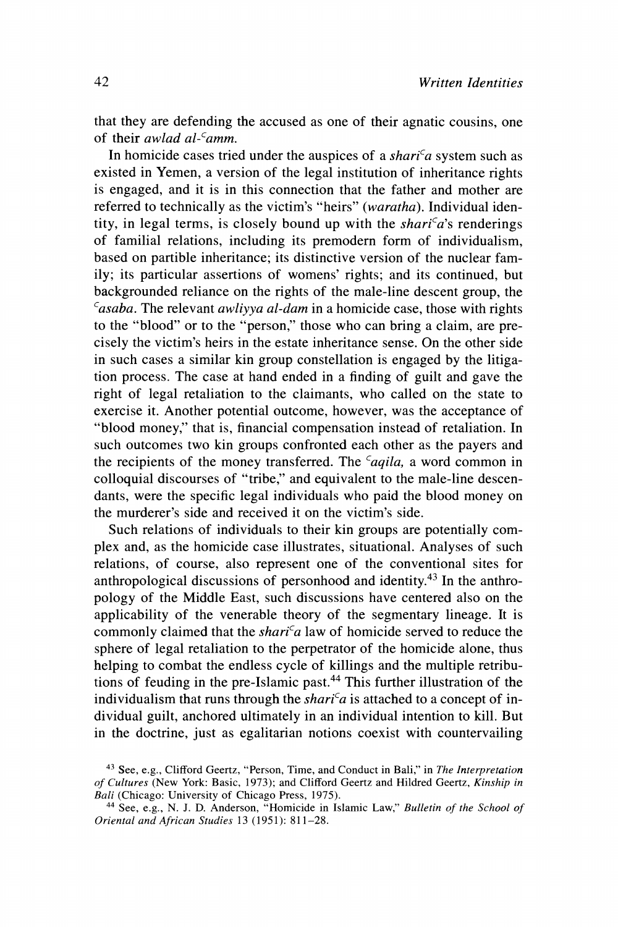**that they are defending the accused as one of their agnatic cousins, one of their awlad al-'amm.** 

In homicide cases tried under the auspices of a  $shari^c a$  system such as **existed in Yemen, a version of the legal institution of inheritance rights is engaged, and it is in this connection that the father and mother are referred to technically as the victim's "heirs" (waratha). Individual iden**tity, in legal terms, is closely bound up with the *shari<sup>c</sup>a*'s renderings **of familial relations, including its premodern form of individualism, based on partible inheritance; its distinctive version of the nuclear family; its particular assertions of womens' rights; and its continued, but backgrounded reliance on the rights of the male-line descent group, the Casaba. The relevant awliyya al-dam in a homicide case, those with rights to the "blood" or to the "person," those who can bring a claim, are precisely the victim's heirs in the estate inheritance sense. On the other side in such cases a similar kin group constellation is engaged by the litigation process. The case at hand ended in a finding of guilt and gave the right of legal retaliation to the claimants, who called on the state to exercise it. Another potential outcome, however, was the acceptance of "blood money," that is, financial compensation instead of retaliation. In such outcomes two kin groups confronted each other as the payers and**  the recipients of the money transferred. The *caqila*, a word common in **colloquial discourses of "tribe," and equivalent to the male-line descendants, were the specific legal individuals who paid the blood money on the murderer's side and received it on the victim's side.** 

**Such relations of individuals to their kin groups are potentially complex and, as the homicide case illustrates, situational. Analyses of such relations, of course, also represent one of the conventional sites for anthropological discussions of personhood and identity.43 In the anthropology of the Middle East, such discussions have centered also on the applicability of the venerable theory of the segmentary lineage. It is commonly claimed that the shari'a law of homicide served to reduce the sphere of legal retaliation to the perpetrator of the homicide alone, thus helping to combat the endless cycle of killings and the multiple retributions of feuding in the pre-Islamic past.44 This further illustration of the**  individualism that runs through the *shari<sup>c</sup>a* is attached to a concept of in**dividual guilt, anchored ultimately in an individual intention to kill. But in the doctrine, just as egalitarian notions coexist with countervailing** 

**<sup>43</sup>See, e.g., Clifford Geertz, "Person, Time, and Conduct in Bali," in The Interpretation of Cultures (New York: Basic, 1973); and Clifford Geertz and Hildred Geertz, Kinship in Bali (Chicago: University of Chicago Press, 1975).** 

**<sup>44</sup> See, e.g., N. J. D. Anderson, "Homicide in Islamic Law," Bulletin of the School of Oriental and African Studies 13 (1951): 811-28.**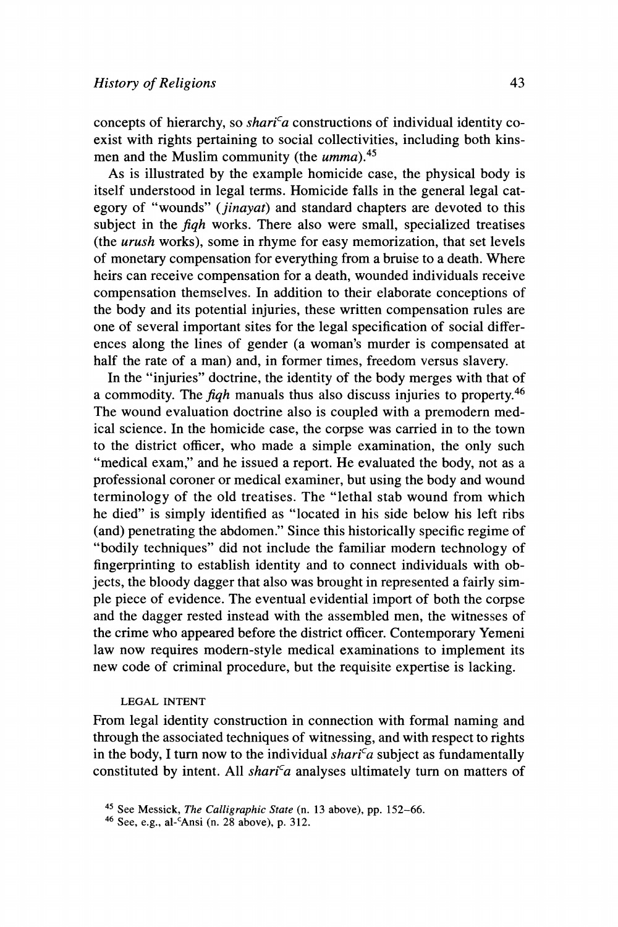concepts of hierarchy, so *shari<sup>c</sup>a* constructions of individual identity co**exist with rights pertaining to social collectivities, including both kinsmen and the Muslim community (the umma).45** 

**As is illustrated by the example homicide case, the physical body is itself understood in legal terms. Homicide falls in the general legal category of "wounds" (jinayat) and standard chapters are devoted to this subject in the fiqh works. There also were small, specialized treatises (the urush works), some in rhyme for easy memorization, that set levels of monetary compensation for everything from a bruise to a death. Where heirs can receive compensation for a death, wounded individuals receive compensation themselves. In addition to their elaborate conceptions of the body and its potential injuries, these written compensation rules are one of several important sites for the legal specification of social differences along the lines of gender (a woman's murder is compensated at half the rate of a man) and, in former times, freedom versus slavery.** 

**In the "injuries" doctrine, the identity of the body merges with that of a commodity. The fiqh manuals thus also discuss injuries to property.46 The wound evaluation doctrine also is coupled with a premodern medical science. In the homicide case, the corpse was carried in to the town to the district officer, who made a simple examination, the only such "medical exam," and he issued a report. He evaluated the body, not as a professional coroner or medical examiner, but using the body and wound terminology of the old treatises. The "lethal stab wound from which he died" is simply identified as "located in his side below his left ribs (and) penetrating the abdomen." Since this historically specific regime of "bodily techniques" did not include the familiar modern technology of fingerprinting to establish identity and to connect individuals with objects, the bloody dagger that also was brought in represented a fairly simple piece of evidence. The eventual evidential import of both the corpse and the dagger rested instead with the assembled men, the witnesses of the crime who appeared before the district officer. Contemporary Yemeni**  law now requires modern-style medical examinations to implement its **new code of criminal procedure, but the requisite expertise is lacking.** 

### **LEGAL INTENT**

**From legal identity construction in connection with formal naming and through the associated techniques of witnessing, and with respect to rights**  in the body, I turn now to the individual  $\text{shari}^c a$  subject as fundamentally constituted by intent. All *shari<sup>c</sup>a* analyses ultimately turn on matters of

**<sup>45</sup> See Messick, The Calligraphic State (n. 13 above), pp. 152-66.** 

**<sup>46</sup> See, e.g., al-CAnsi (n. 28 above), p. 312.**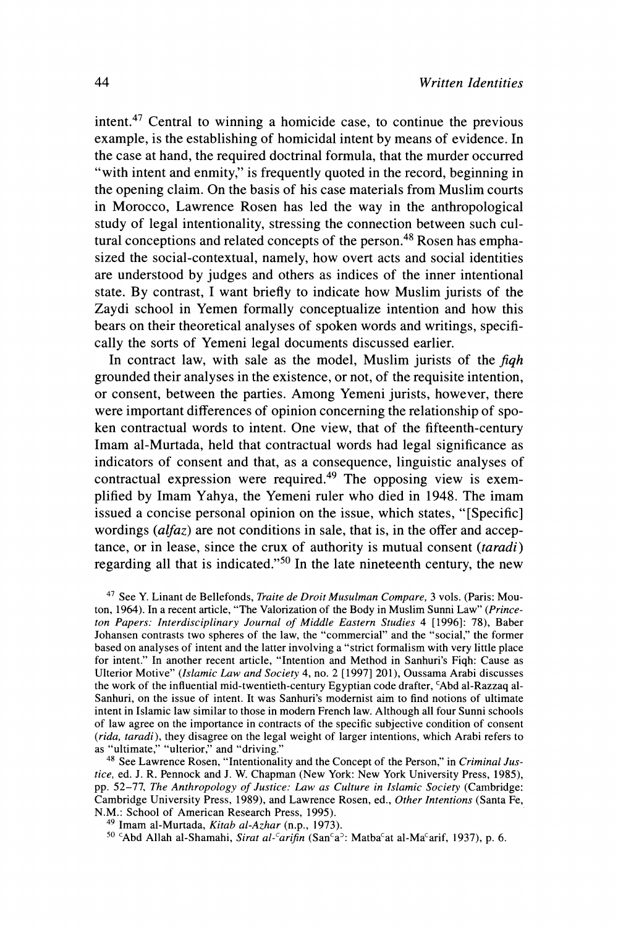**intent.47 Central to winning a homicide case, to continue the previous example, is the establishing of homicidal intent by means of evidence. In the case at hand, the required doctrinal formula, that the murder occurred "with intent and enmity," is frequently quoted in the record, beginning in the opening claim. On the basis of his case materials from Muslim courts in Morocco, Lawrence Rosen has led the way in the anthropological study of legal intentionality, stressing the connection between such cul**tural conceptions and related concepts of the person.<sup>48</sup> Rosen has empha**sized the social-contextual, namely, how overt acts and social identities are understood by judges and others as indices of the inner intentional state. By contrast, I want briefly to indicate how Muslim jurists of the Zaydi school in Yemen formally conceptualize intention and how this bears on their theoretical analyses of spoken words and writings, specifically the sorts of Yemeni legal documents discussed earlier.** 

**In contract law, with sale as the model, Muslim jurists of the fiqh grounded their analyses in the existence, or not, of the requisite intention, or consent, between the parties. Among Yemeni jurists, however, there were important differences of opinion concerning the relationship of spoken contractual words to intent. One view, that of the fifteenth-century Imam al-Murtada, held that contractual words had legal significance as indicators of consent and that, as a consequence, linguistic analyses of contractual expression were required.49 The opposing view is exemplified by Imam Yahya, the Yemeni ruler who died in 1948. The imam issued a concise personal opinion on the issue, which states, "[Specific] wordings (alfaz) are not conditions in sale, that is, in the offer and acceptance, or in lease, since the crux of authority is mutual consent (taradi) regarding all that is indicated."50 In the late nineteenth century, the new** 

**47 See Y. Linant de Bellefonds, Traite de Droit Musulman Compare, 3 vols. (Paris: Mouton, 1964). In a recent article, "The Valorization of the Body in Muslim Sunni Law" (Princeton Papers: Interdisciplinary Journal of Middle Eastern Studies 4 [1996]: 78), Baber Johansen contrasts two spheres of the law, the "commercial" and the "social," the former based on analyses of intent and the latter involving a "strict formalism with very little place for intent." In another recent article, "Intention and Method in Sanhuri's Fiqh: Cause as Ulterior Motive" (Islamic Law and Society 4, no. 2 [1997] 201), Oussama Arabi discusses**  the work of the influential mid-twentieth-century Egyptian code drafter, <sup>c</sup>Abd al-Razzaq al-**Sanhuri, on the issue of intent. It was Sanhuri's modernist aim to find notions of ultimate intent in Islamic law similar to those in modern French law. Although all four Sunni schools of law agree on the importance in contracts of the specific subjective condition of consent (rida, taradi), they disagree on the legal weight of larger intentions, which Arabi refers to** 

<sup>48</sup> See Lawrence Rosen, "Intentionality and the Concept of the Person," in Criminal Jus**tice, ed. J. R. Pennock and J. W. Chapman (New York: New York University Press, 1985), pp. 52-77, The Anthropology of Justice: Law as Culture in Islamic Society (Cambridge: Cambridge University Press, 1989), and Lawrence Rosen, ed., Other Intentions (Santa Fe, N.M.: School of American Research Press, 1995).** 

<sup>50</sup> 'Abd Allah al-Shamahi, Sirat al-<sup>c</sup>arifin (San<sup>c</sup>a<sup>5</sup>: Matba<sup>c</sup>at al-Ma<sup>c</sup>arif, 1937), p. 6.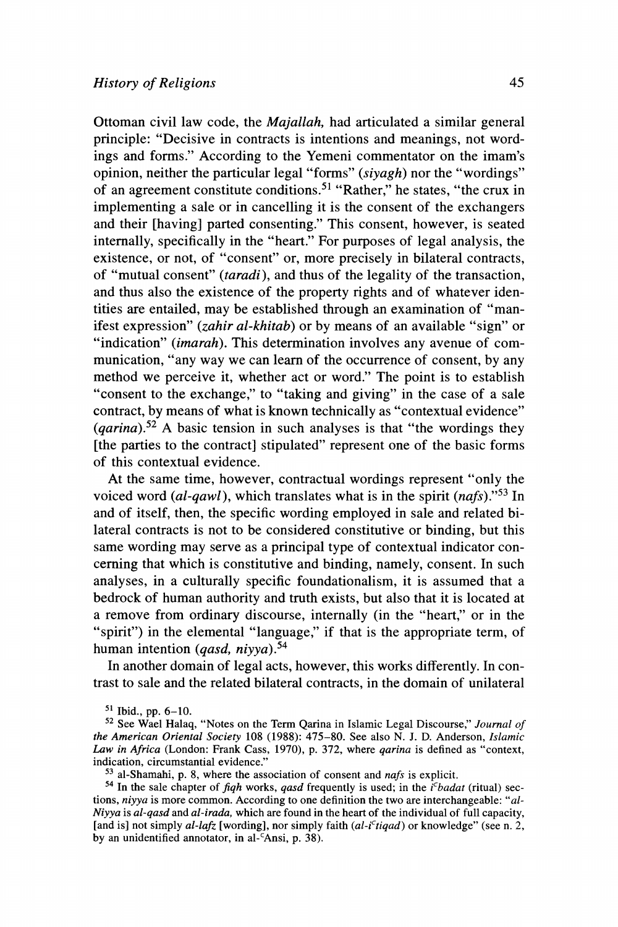**Ottoman civil law code, the Majallah, had articulated a similar general principle: "Decisive in contracts is intentions and meanings, not wordings and forms." According to the Yemeni commentator on the imam's opinion, neither the particular legal "forms" (siyagh) nor the "wordings" of an agreement constitute conditions.51 "Rather," he states, "the crux in implementing a sale or in cancelling it is the consent of the exchangers and their [having] parted consenting." This consent, however, is seated internally, specifically in the "heart." For purposes of legal analysis, the existence, or not, of "consent" or, more precisely in bilateral contracts, of "mutual consent" (taradi), and thus of the legality of the transaction, and thus also the existence of the property rights and of whatever identities are entailed, may be established through an examination of "manifest expression" (zahir al-khitab) or by means of an available "sign" or "indication" (imarah). This determination involves any avenue of communication, "any way we can learn of the occurrence of consent, by any method we perceive it, whether act or word." The point is to establish "consent to the exchange," to "taking and giving" in the case of a sale contract, by means of what is known technically as "contextual evidence" (qarina).52 A basic tension in such analyses is that "the wordings they [the parties to the contract] stipulated" represent one of the basic forms of this contextual evidence.** 

**At the same time, however, contractual wordings represent "only the**  voiced word (al-qawl), which translates what is in the spirit (nafs).<sup>53</sup> In **and of itself, then, the specific wording employed in sale and related bilateral contracts is not to be considered constitutive or binding, but this same wording may serve as a principal type of contextual indicator concerning that which is constitutive and binding, namely, consent. In such analyses, in a culturally specific foundationalism, it is assumed that a bedrock of human authority and truth exists, but also that it is located at a remove from ordinary discourse, internally (in the "heart," or in the "spirit") in the elemental "language," if that is the appropriate term, of human intention (qasd, niyya).54** 

**In another domain of legal acts, however, this works differently. In contrast to sale and the related bilateral contracts, in the domain of unilateral** 

**<sup>51</sup> Ibid., pp. 6-10.** 

**<sup>52</sup>See Wael Halaq, "Notes on the Term Qarina in Islamic Legal Discourse," Journal of the American Oriental Society 108 (1988): 475-80. See also N. J. D. Anderson, Islamic Law in Africa (London: Frank Cass, 1970), p. 372, where qarina is defined as "context, indication, circumstantial evidence."** 

**<sup>53</sup> al-Shamahi, p. 8, where the association of consent and nafs is explicit.** 

<sup>&</sup>lt;sup>54</sup> In the sale chapter of *fiqh* works, *qasd* frequently is used; in the  $i<sup>c</sup>badat$  (ritual) sec**tions, niyya is more common. According to one definition the two are interchangeable: "al-Niyya is al-qasd and al-irada, which are found in the heart of the individual of full capacity,**  [and is] not simply  $al$ -lafz [wording], nor simply faith  $(al$ -i<sup>c</sup>tiqad) or knowledge" (see n. 2, **by an unidentified annotator, in al-'Ansi, p. 38).**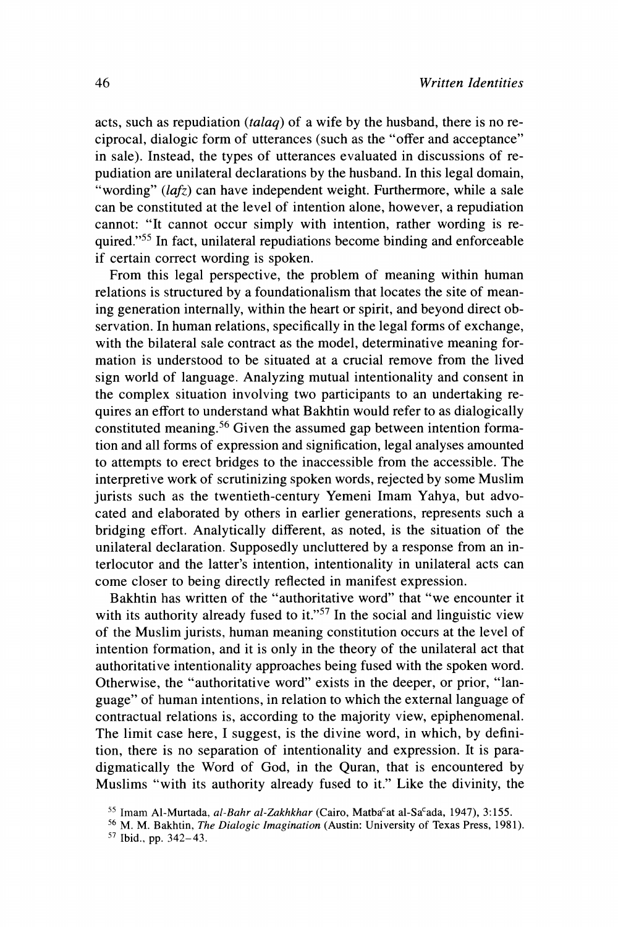**acts, such as repudiation (talaq) of a wife by the husband, there is no reciprocal, dialogic form of utterances (such as the "offer and acceptance" in sale). Instead, the types of utterances evaluated in discussions of repudiation are unilateral declarations by the husband. In this legal domain, "wording" (lafz) can have independent weight. Furthermore, while a sale can be constituted at the level of intention alone, however, a repudiation cannot: "It cannot occur simply with intention, rather wording is required."55 In fact, unilateral repudiations become binding and enforceable if certain correct wording is spoken.** 

**From this legal perspective, the problem of meaning within human relations is structured by a foundationalism that locates the site of meaning generation internally, within the heart or spirit, and beyond direct observation. In human relations, specifically in the legal forms of exchange, with the bilateral sale contract as the model, determinative meaning formation is understood to be situated at a crucial remove from the lived sign world of language. Analyzing mutual intentionality and consent in the complex situation involving two participants to an undertaking requires an effort to understand what Bakhtin would refer to as dialogically constituted meaning.56 Given the assumed gap between intention formation and all forms of expression and signification, legal analyses amounted to attempts to erect bridges to the inaccessible from the accessible. The interpretive work of scrutinizing spoken words, rejected by some Muslim jurists such as the twentieth-century Yemeni Imam Yahya, but advocated and elaborated by others in earlier generations, represents such a bridging effort. Analytically different, as noted, is the situation of the unilateral declaration. Supposedly uncluttered by a response from an interlocutor and the latter's intention, intentionality in unilateral acts can come closer to being directly reflected in manifest expression.** 

**Bakhtin has written of the "authoritative word" that "we encounter it with its authority already fused to it."57 In the social and linguistic view of the Muslim jurists, human meaning constitution occurs at the level of intention formation, and it is only in the theory of the unilateral act that authoritative intentionality approaches being fused with the spoken word. Otherwise, the "authoritative word" exists in the deeper, or prior, "language" of human intentions, in relation to which the external language of contractual relations is, according to the majority view, epiphenomenal. The limit case here, I suggest, is the divine word, in which, by definition, there is no separation of intentionality and expression. It is paradigmatically the Word of God, in the Quran, that is encountered by Muslims "with its authority already fused to it." Like the divinity, the** 

<sup>&</sup>lt;sup>55</sup> Imam Al-Murtada, al-Bahr al-Zakhkhar (Cairo, Matba<sup>c</sup>at al-Sa<sup>c</sup>ada, 1947), 3:155.

**<sup>56</sup>M. M. Bakhtin, The Dialogic Imagination (Austin: University of Texas Press, 1981).** 

**<sup>57</sup>Ibid., pp. 342-43.**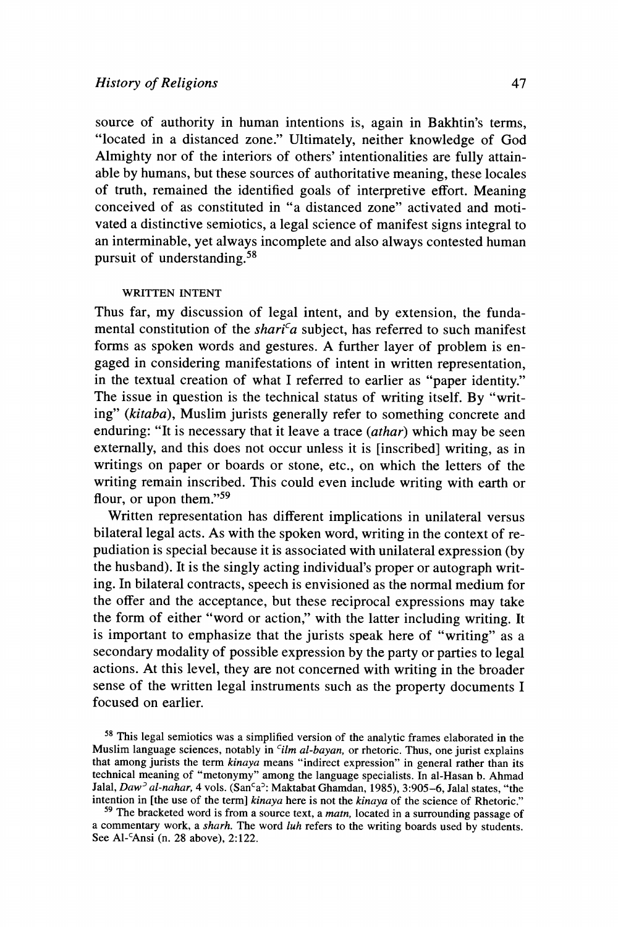## **History of Religions**

**source of authority in human intentions is, again in Bakhtin's terms, "located in a distanced zone." Ultimately, neither knowledge of God Almighty nor of the interiors of others' intentionalities are fully attainable by humans, but these sources of authoritative meaning, these locales of truth, remained the identified goals of interpretive effort. Meaning conceived of as constituted in "a distanced zone" activated and motivated a distinctive semiotics, a legal science of manifest signs integral to an interminable, yet always incomplete and also always contested human pursuit of understanding.58** 

### **WRITTEN INTENT**

**Thus far, my discussion of legal intent, and by extension, the funda**mental constitution of the shari<sup>c</sup>a subject, has referred to such manifest **forms as spoken words and gestures. A further layer of problem is engaged in considering manifestations of intent in written representation, in the textual creation of what I referred to earlier as "paper identity." The issue in question is the technical status of writing itself. By "writing" (kitaba), Muslim jurists generally refer to something concrete and enduring: "It is necessary that it leave a trace (athar) which may be seen externally, and this does not occur unless it is [inscribed] writing, as in writings on paper or boards or stone, etc., on which the letters of the writing remain inscribed. This could even include writing with earth or flour, or upon them."59** 

**Written representation has different implications in unilateral versus bilateral legal acts. As with the spoken word, writing in the context of repudiation is special because it is associated with unilateral expression (by the husband). It is the singly acting individual's proper or autograph writing. In bilateral contracts, speech is envisioned as the normal medium for the offer and the acceptance, but these reciprocal expressions may take the form of either "word or action," with the latter including writing. It is important to emphasize that the jurists speak here of "writing" as a secondary modality of possible expression by the party or parties to legal actions. At this level, they are not concerned with writing in the broader sense of the written legal instruments such as the property documents I focused on earlier.** 

**<sup>58</sup>This legal semiotics was a simplified version of the analytic frames elaborated in the**  Muslim language sciences, notably in *cilm al-bayan*, or rhetoric. Thus, one jurist explains **that among jurists the term kinaya means "indirect expression" in general rather than its technical meaning of "metonymy" among the language specialists. In al-Hasan b. Ahmad**  Jalal, Daw<sup>2</sup> al-nahar, 4 vols. (San<sup>c</sup>a<sup>2</sup>: Maktabat Ghamdan, 1985), 3:905–6, Jalal states, "the **intention in [the use of the term] kinaya here is not the kinaya of the science of Rhetoric."** 

**<sup>59</sup> The bracketed word is from a source text, a matn, located in a surrounding passage of a commentary work, a sharh. The word luh refers to the writing boards used by students.**  See Al-<sup>c</sup>Ansi (n. 28 above), 2:122.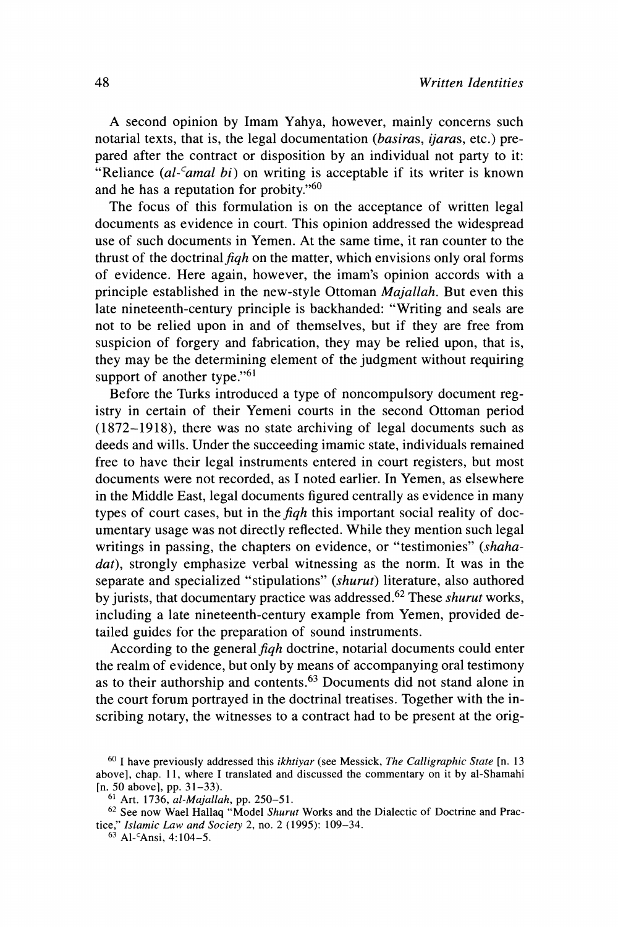**A second opinion by Imam Yahya, however, mainly concerns such notarial texts, that is, the legal documentation (basiras, ijaras, etc.) prepared after the contract or disposition by an individual not party to it: "Reliance (al-'amal bi) on writing is acceptable if its writer is known and he has a reputation for probity."60** 

**The focus of this formulation is on the acceptance of written legal documents as evidence in court. This opinion addressed the widespread use of such documents in Yemen. At the same time, it ran counter to the**  thrust of the doctrinal figh on the matter, which envisions only oral forms **of evidence. Here again, however, the imam's opinion accords with a principle established in the new-style Ottoman Majallah. But even this late nineteenth-century principle is backhanded: "Writing and seals are not to be relied upon in and of themselves, but if they are free from suspicion of forgery and fabrication, they may be relied upon, that is, they may be the determining element of the judgment without requiring support of another type."61** 

**Before the Turks introduced a type of noncompulsory document registry in certain of their Yemeni courts in the second Ottoman period (1872-1918), there was no state archiving of legal documents such as deeds and wills. Under the succeeding imamic state, individuals remained free to have their legal instruments entered in court registers, but most documents were not recorded, as I noted earlier. In Yemen, as elsewhere in the Middle East, legal documents figured centrally as evidence in many types of court cases, but in the fiqh this important social reality of documentary usage was not directly reflected. While they mention such legal writings in passing, the chapters on evidence, or "testimonies" (shaha**dat), strongly emphasize verbal witnessing as the norm. It was in the **separate and specialized "stipulations" (shurut) literature, also authored by jurists, that documentary practice was addressed.62 These shurut works, including a late nineteenth-century example from Yemen, provided detailed guides for the preparation of sound instruments.** 

**According to the general fiqh doctrine, notarial documents could enter the realm of evidence, but only by means of accompanying oral testimony as to their authorship and contents.63 Documents did not stand alone in the court forum portrayed in the doctrinal treatises. Together with the inscribing notary, the witnesses to a contract had to be present at the orig-**

**<sup>60</sup>I have previously addressed this ikhtiyar (see Messick, The Calligraphic State [n. 13 above], chap. 11, where I translated and discussed the commentary on it by al-Shamahi [n. 50 above], pp. 31-33).** 

**<sup>61</sup> Art. 1736, al-Majallah, pp. 250-51.** 

**<sup>62</sup>See now Wael Hallaq "Model Shurut Works and the Dialectic of Doctrine and Practice," Islamic Law and Society 2, no. 2 (1995): 109-34.** 

**<sup>63</sup>Al-CAnsi, 4:104-5.**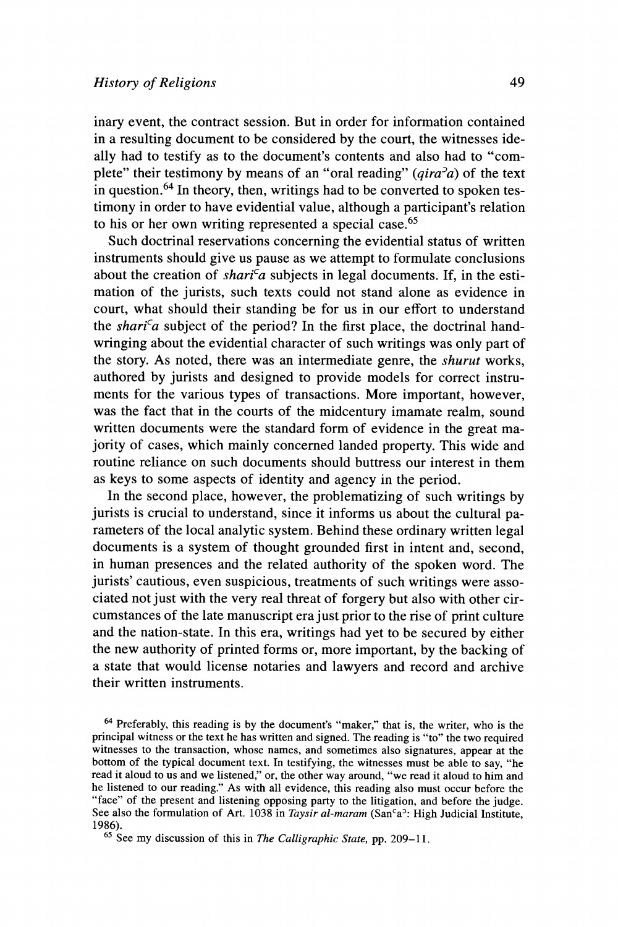**inary event, the contract session. But in order for information contained in a resulting document to be considered by the court, the witnesses ideally had to testify as to the document's contents and also had to "complete"** their testimony by means of an "oral reading"  $(qira<sup>2</sup>a)$  of the text **in question.64 In theory, then, writings had to be converted to spoken testimony in order to have evidential value, although a participant's relation to his or her own writing represented a special case.65** 

**Such doctrinal reservations concerning the evidential status of written instruments should give us pause as we attempt to formulate conclusions**  about the creation of *shari<sup>c</sup>a* subjects in legal documents. If, in the esti**mation of the jurists, such texts could not stand alone as evidence in court, what should their standing be for us in our effort to understand**  the *shari*<sup>c</sup>a subject of the period? In the first place, the doctrinal hand**wringing about the evidential character of such writings was only part of the story. As noted, there was an intermediate genre, the shurut works, authored by jurists and designed to provide models for correct instruments for the various types of transactions. More important, however, was the fact that in the courts of the midcentury imamate realm, sound written documents were the standard form of evidence in the great majority of cases, which mainly concerned landed property. This wide and routine reliance on such documents should buttress our interest in them as keys to some aspects of identity and agency in the period.** 

**In the second place, however, the problematizing of such writings by jurists is crucial to understand, since it informs us about the cultural parameters of the local analytic system. Behind these ordinary written legal documents is a system of thought grounded first in intent and, second, in human presences and the related authority of the spoken word. The jurists' cautious, even suspicious, treatments of such writings were associated not just with the very real threat of forgery but also with other circumstances of the late manuscript era just prior to the rise of print culture and the nation-state. In this era, writings had yet to be secured by either the new authority of printed forms or, more important, by the backing of a state that would license notaries and lawyers and record and archive their written instruments.** 

**<sup>64</sup>Preferably, this reading is by the document's "maker," that is, the writer, who is the principal witness or the text he has written and signed. The reading is "to" the two required witnesses to the transaction, whose names, and sometimes also signatures, appear at the bottom of the typical document text. In testifying, the witnesses must be able to say, "he read it aloud to us and we listened," or, the other way around, "we read it aloud to him and he listened to our reading." As with all evidence, this reading also must occur before the "face" of the present and listening opposing party to the litigation, and before the judge.**  See also the formulation of Art. 1038 in *Taysir al-maram* (San<sup>c</sup>a<sup>2</sup>: High Judicial Institute, 1986).

<sup>65</sup> See my discussion of this in *The Calligraphic State*, pp. 209-11.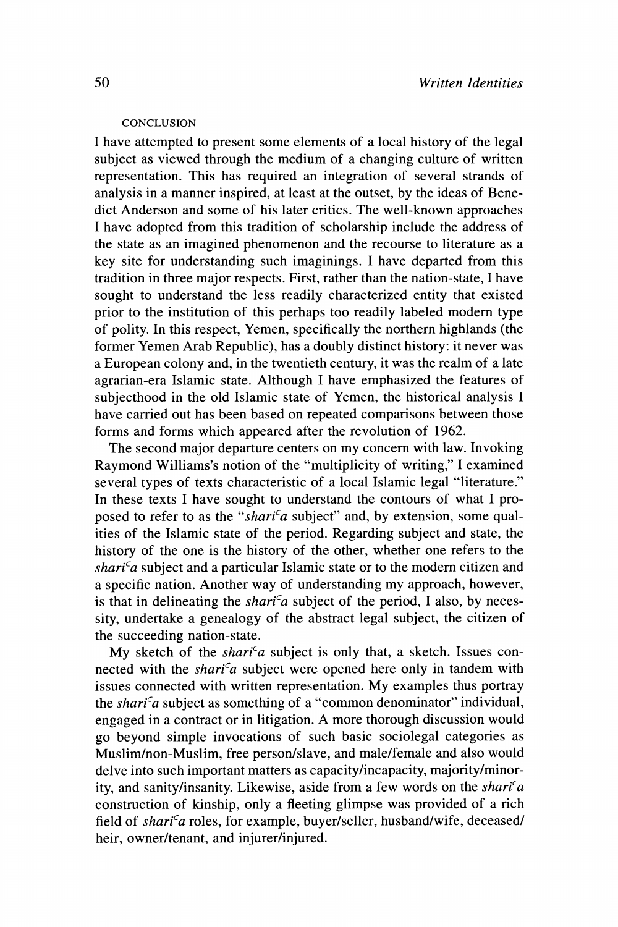### **CONCLUSION**

**I have attempted to present some elements of a local history of the legal subject as viewed through the medium of a changing culture of written representation. This has required an integration of several strands of analysis in a manner inspired, at least at the outset, by the ideas of Benedict Anderson and some of his later critics. The well-known approaches I have adopted from this tradition of scholarship include the address of the state as an imagined phenomenon and the recourse to literature as a key site for understanding such imaginings. I have departed from this tradition in three major respects. First, rather than the nation-state, I have sought to understand the less readily characterized entity that existed prior to the institution of this perhaps too readily labeled modern type of polity. In this respect, Yemen, specifically the northern highlands (the former Yemen Arab Republic), has a doubly distinct history: it never was a European colony and, in the twentieth century, it was the realm of a late agrarian-era Islamic state. Although I have emphasized the features of subjecthood in the old Islamic state of Yemen, the historical analysis I have carried out has been based on repeated comparisons between those forms and forms which appeared after the revolution of 1962.** 

**The second major departure centers on my concern with law. Invoking Raymond Williams's notion of the "multiplicity of writing," I examined several types of texts characteristic of a local Islamic legal "literature." In these texts I have sought to understand the contours of what I pro**posed to refer to as the "shari<sup>c</sup>a subject" and, by extension, some qual**ities of the Islamic state of the period. Regarding subject and state, the history of the one is the history of the other, whether one refers to the**  shari<sup>c</sup>a subject and a particular Islamic state or to the modern citizen and **a specific nation. Another way of understanding my approach, however,**  is that in delineating the *shari<sup>c</sup>a* subject of the period, I also, by neces**sity, undertake a genealogy of the abstract legal subject, the citizen of the succeeding nation-state.** 

My sketch of the *shari<sup>c</sup>a* subject is only that, a sketch. Issues connected with the *shari<sup>c</sup>a* subject were opened here only in tandem with **issues connected with written representation. My examples thus portray**  the shari<sup>c</sup>a subject as something of a "common denominator" individual, **engaged in a contract or in litigation. A more thorough discussion would go beyond simple invocations of such basic sociolegal categories as Muslim/non-Muslim, free person/slave, and male/female and also would delve into such important matters as capacity/incapacity, majority/minority, and sanity/insanity. Likewise, aside from a few words on the sharica construction of kinship, only a fleeting glimpse was provided of a rich**  field of shari<sup>c</sup>a roles, for example, buyer/seller, husband/wife, deceased/ **heir, owner/tenant, and injurer/injured.**